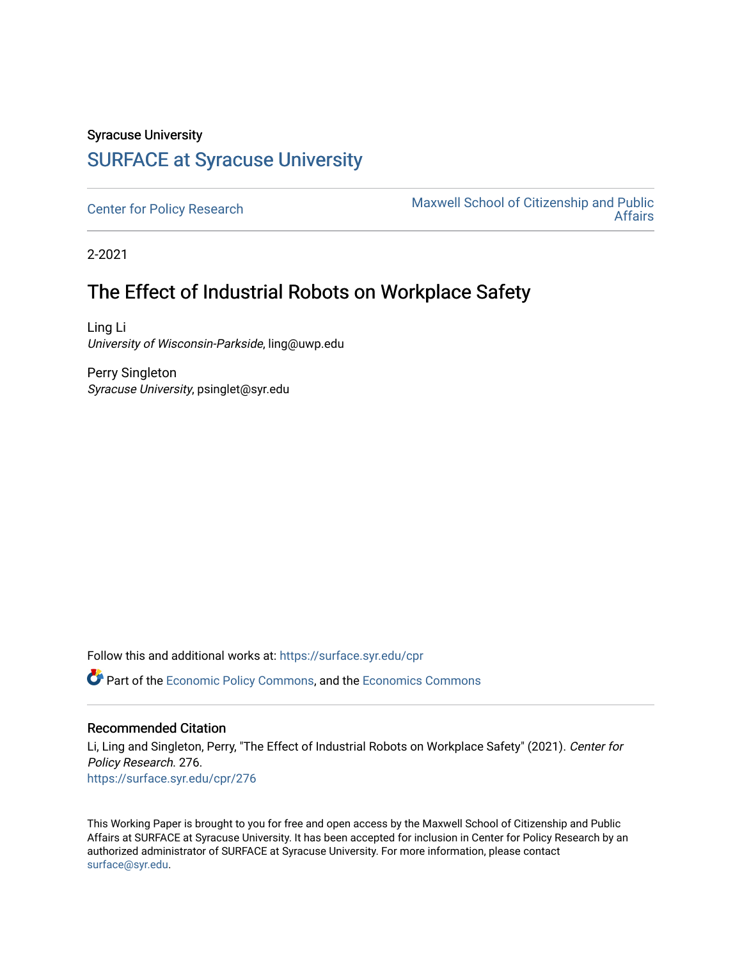# Syracuse University [SURFACE at Syracuse University](https://surface.syr.edu/)

[Center for Policy Research](https://surface.syr.edu/cpr) Maxwell School of Citizenship and Public<br>Affairs [Affairs](https://surface.syr.edu/maxwell) 

2-2021

# The Effect of Industrial Robots on Workplace Safety

Ling Li University of Wisconsin-Parkside, ling@uwp.edu

Perry Singleton Syracuse University, psinglet@syr.edu

Follow this and additional works at: [https://surface.syr.edu/cpr](https://surface.syr.edu/cpr?utm_source=surface.syr.edu%2Fcpr%2F276&utm_medium=PDF&utm_campaign=PDFCoverPages) 

**C** Part of the [Economic Policy Commons](http://network.bepress.com/hgg/discipline/1025?utm_source=surface.syr.edu%2Fcpr%2F276&utm_medium=PDF&utm_campaign=PDFCoverPages), and the [Economics Commons](http://network.bepress.com/hgg/discipline/340?utm_source=surface.syr.edu%2Fcpr%2F276&utm_medium=PDF&utm_campaign=PDFCoverPages)

#### Recommended Citation

Li, Ling and Singleton, Perry, "The Effect of Industrial Robots on Workplace Safety" (2021). Center for Policy Research. 276. [https://surface.syr.edu/cpr/276](https://surface.syr.edu/cpr/276?utm_source=surface.syr.edu%2Fcpr%2F276&utm_medium=PDF&utm_campaign=PDFCoverPages) 

This Working Paper is brought to you for free and open access by the Maxwell School of Citizenship and Public Affairs at SURFACE at Syracuse University. It has been accepted for inclusion in Center for Policy Research by an authorized administrator of SURFACE at Syracuse University. For more information, please contact [surface@syr.edu.](mailto:surface@syr.edu)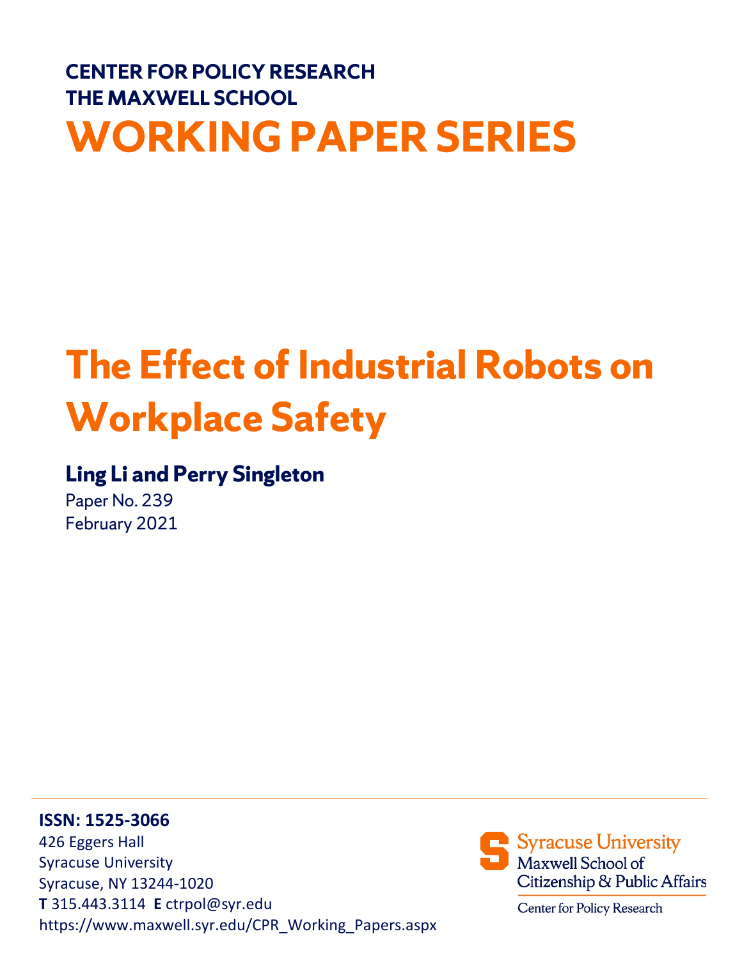# **CENTER FOR POLICY RESEARCH THE MAXWELL SCHOOL WORKING PAPER SERIES**

# **The Effect of Industrial Robots on Workplace Safety**

# **Ling Li and Perry Singleton**

Paper No. 239 February 2021

**ISSN: 1525-3066** 426 Eggers Hall Syracuse University Syracuse, NY 13244-1020 **T** 315.443.3114 **E** ctrpol@syr.edu https://www.maxwell.syr.edu/CPR\_Working\_Papers.aspx

Syracuse University Maxwell School of Citizenship & Public Affairs

Center for Policy Research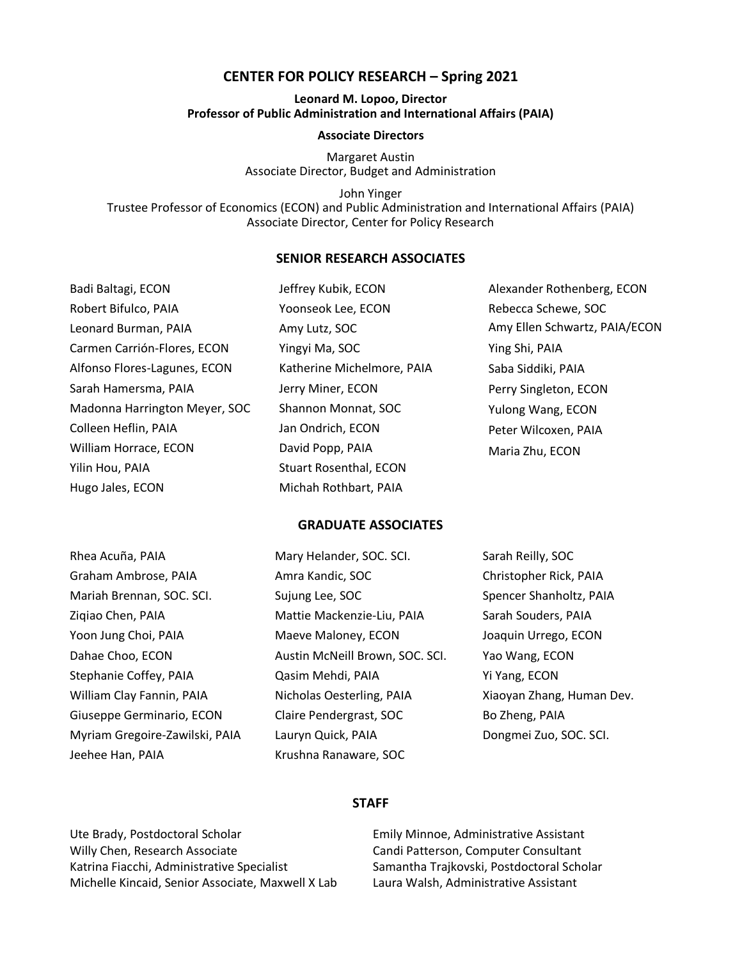#### **CENTER FOR POLICY RESEARCH – Spring 2021**

#### **Leonard M. Lopoo, Director Professor of Public Administration and International Affairs (PAIA)**

#### **Associate Directors**

Margaret Austin Associate Director, Budget and Administration

John Yinger Trustee Professor of Economics (ECON) and Public Administration and International Affairs (PAIA) Associate Director, Center for Policy Research

#### **SENIOR RESEARCH ASSOCIATES**

| Badi Baltagi, ECON            | Jeffrey Kubik, ECON           | Alexander Rothenberg, ECON    |
|-------------------------------|-------------------------------|-------------------------------|
| Robert Bifulco, PAIA          | Yoonseok Lee, ECON            | Rebecca Schewe, SOC           |
| Leonard Burman, PAIA          | Amy Lutz, SOC                 | Amy Ellen Schwartz, PAIA/ECON |
| Carmen Carrión-Flores, ECON   | Yingyi Ma, SOC                | Ying Shi, PAIA                |
| Alfonso Flores-Lagunes, ECON  | Katherine Michelmore, PAIA    | Saba Siddiki, PAIA            |
| Sarah Hamersma, PAIA          | Jerry Miner, ECON             | Perry Singleton, ECON         |
| Madonna Harrington Meyer, SOC | Shannon Monnat, SOC           | Yulong Wang, ECON             |
| Colleen Heflin, PAIA          | Jan Ondrich, ECON             | Peter Wilcoxen, PAIA          |
| William Horrace, ECON         | David Popp, PAIA              | Maria Zhu, ECON               |
| Yilin Hou, PAIA               | <b>Stuart Rosenthal, ECON</b> |                               |
| Hugo Jales, ECON              | Michah Rothbart, PAIA         |                               |

#### **GRADUATE ASSOCIATES**

| Rhea Acuña, PAIA               | Mary Helander, SOC. SCI.        | Sarah Reilly, SOC         |
|--------------------------------|---------------------------------|---------------------------|
| Graham Ambrose, PAIA           | Amra Kandic, SOC                | Christopher Rick, PAIA    |
| Mariah Brennan, SOC. SCI.      | Sujung Lee, SOC                 | Spencer Shanholtz, PAIA   |
| Ziqiao Chen, PAIA              | Mattie Mackenzie-Liu, PAIA      | Sarah Souders, PAIA       |
| Yoon Jung Choi, PAIA           | Maeve Maloney, ECON             | Joaquin Urrego, ECON      |
| Dahae Choo, ECON               | Austin McNeill Brown, SOC. SCI. | Yao Wang, ECON            |
| Stephanie Coffey, PAIA         | Qasim Mehdi, PAIA               | Yi Yang, ECON             |
| William Clay Fannin, PAIA      | Nicholas Oesterling, PAIA       | Xiaoyan Zhang, Human Dev. |
| Giuseppe Germinario, ECON      | Claire Pendergrast, SOC         | Bo Zheng, PAIA            |
| Myriam Gregoire-Zawilski, PAIA | Lauryn Quick, PAIA              | Dongmei Zuo, SOC. SCI.    |
| Jeehee Han, PAIA               | Krushna Ranaware, SOC           |                           |

#### **STAFF**

Ute Brady, Postdoctoral Scholar Willy Chen, Research Associate Katrina Fiacchi, Administrative Specialist Michelle Kincaid, Senior Associate, Maxwell X Lab

Emily Minnoe, Administrative Assistant Candi Patterson, Computer Consultant Samantha Trajkovski, Postdoctoral Scholar Laura Walsh, Administrative Assistant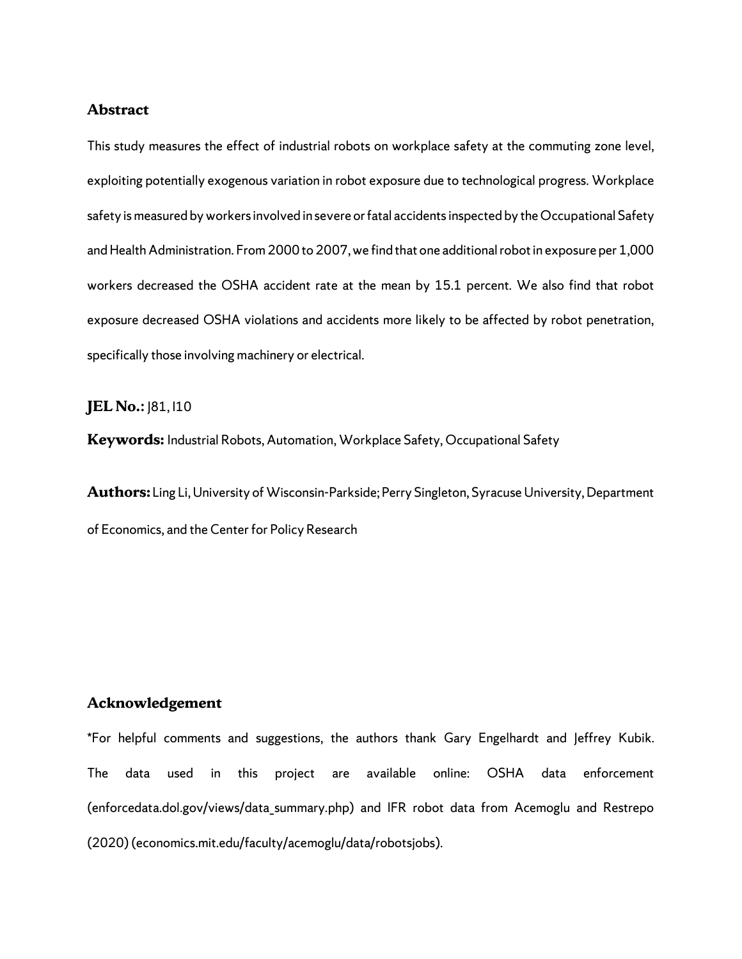#### **Abstract**

This study measures the effect of industrial robots on workplace safety at the commuting zone level, exploiting potentially exogenous variation in robot exposure due to technological progress. Workplace safety is measured by workers involved in severe or fatal accidents inspected by the Occupational Safety and Health Administration. From 2000 to 2007, we find that one additional robot in exposure per 1,000 workers decreased the OSHA accident rate at the mean by 15.1 percent. We also find that robot exposure decreased OSHA violations and accidents more likely to be affected by robot penetration, specifically those involving machinery or electrical.

#### **JEL No.:**  $|81,110$

**Keywords:** Industrial Robots, Automation, Workplace Safety, Occupational Safety

**Authors:** Ling Li, University of Wisconsin-Parkside; Perry Singleton, Syracuse University, Department of Economics, and the Center for Policy Research

#### **Acknowledgement**

\*For helpful comments and suggestions, the authors thank Gary Engelhardt and Jeffrey Kubik. The data used in this project are available online: OSHA data enforcement (enforcedata.dol.gov/views/data\_summary.php) and IFR robot data from Acemoglu and Restrepo (2020) (economics.mit.edu/faculty/acemoglu/data/robotsjobs).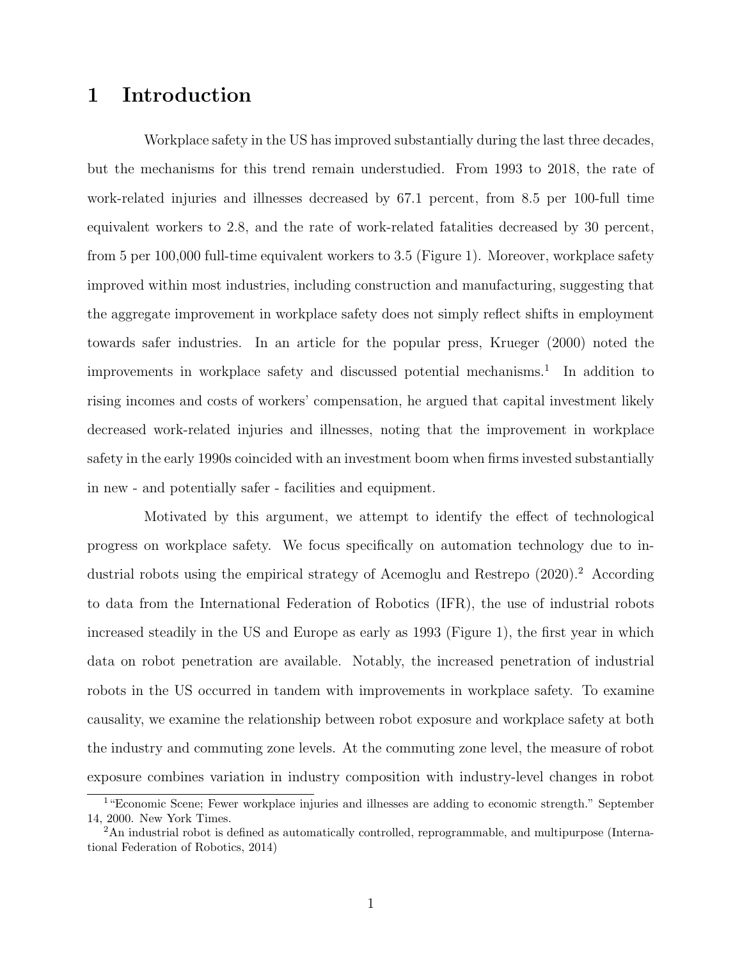# 1 Introduction

Workplace safety in the US has improved substantially during the last three decades, but the mechanisms for this trend remain understudied. From 1993 to 2018, the rate of work-related injuries and illnesses decreased by 67.1 percent, from 8.5 per 100-full time equivalent workers to 2.8, and the rate of work-related fatalities decreased by 30 percent, from 5 per 100,000 full-time equivalent workers to 3.5 (Figure 1). Moreover, workplace safety improved within most industries, including construction and manufacturing, suggesting that the aggregate improvement in workplace safety does not simply reflect shifts in employment towards safer industries. In an article for the popular press, Krueger (2000) noted the improvements in workplace safety and discussed potential mechanisms.<sup>1</sup> In addition to rising incomes and costs of workers' compensation, he argued that capital investment likely decreased work-related injuries and illnesses, noting that the improvement in workplace safety in the early 1990s coincided with an investment boom when firms invested substantially in new - and potentially safer - facilities and equipment.

Motivated by this argument, we attempt to identify the effect of technological progress on workplace safety. We focus specifically on automation technology due to industrial robots using the empirical strategy of Acemoglu and Restrepo  $(2020)^2$ . According to data from the International Federation of Robotics (IFR), the use of industrial robots increased steadily in the US and Europe as early as 1993 (Figure 1), the first year in which data on robot penetration are available. Notably, the increased penetration of industrial robots in the US occurred in tandem with improvements in workplace safety. To examine causality, we examine the relationship between robot exposure and workplace safety at both the industry and commuting zone levels. At the commuting zone level, the measure of robot exposure combines variation in industry composition with industry-level changes in robot

<sup>&</sup>lt;sup>1</sup>"Economic Scene; Fewer workplace injuries and illnesses are adding to economic strength." September 14, 2000. New York Times.

<sup>2</sup>An industrial robot is defined as automatically controlled, reprogrammable, and multipurpose (International Federation of Robotics, 2014)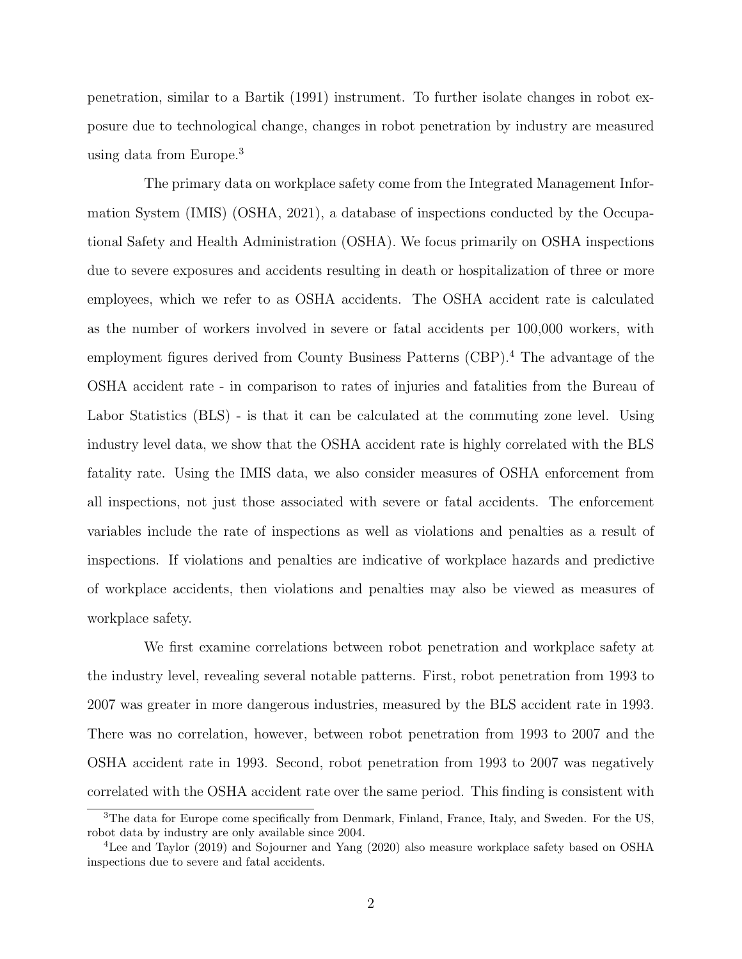penetration, similar to a Bartik (1991) instrument. To further isolate changes in robot exposure due to technological change, changes in robot penetration by industry are measured using data from Europe.<sup>3</sup>

The primary data on workplace safety come from the Integrated Management Information System (IMIS) (OSHA, 2021), a database of inspections conducted by the Occupational Safety and Health Administration (OSHA). We focus primarily on OSHA inspections due to severe exposures and accidents resulting in death or hospitalization of three or more employees, which we refer to as OSHA accidents. The OSHA accident rate is calculated as the number of workers involved in severe or fatal accidents per 100,000 workers, with employment figures derived from County Business Patterns (CBP).<sup>4</sup> The advantage of the OSHA accident rate - in comparison to rates of injuries and fatalities from the Bureau of Labor Statistics (BLS) - is that it can be calculated at the commuting zone level. Using industry level data, we show that the OSHA accident rate is highly correlated with the BLS fatality rate. Using the IMIS data, we also consider measures of OSHA enforcement from all inspections, not just those associated with severe or fatal accidents. The enforcement variables include the rate of inspections as well as violations and penalties as a result of inspections. If violations and penalties are indicative of workplace hazards and predictive of workplace accidents, then violations and penalties may also be viewed as measures of workplace safety.

We first examine correlations between robot penetration and workplace safety at the industry level, revealing several notable patterns. First, robot penetration from 1993 to 2007 was greater in more dangerous industries, measured by the BLS accident rate in 1993. There was no correlation, however, between robot penetration from 1993 to 2007 and the OSHA accident rate in 1993. Second, robot penetration from 1993 to 2007 was negatively correlated with the OSHA accident rate over the same period. This finding is consistent with

<sup>3</sup>The data for Europe come specifically from Denmark, Finland, France, Italy, and Sweden. For the US, robot data by industry are only available since 2004.

<sup>4</sup>Lee and Taylor (2019) and Sojourner and Yang (2020) also measure workplace safety based on OSHA inspections due to severe and fatal accidents.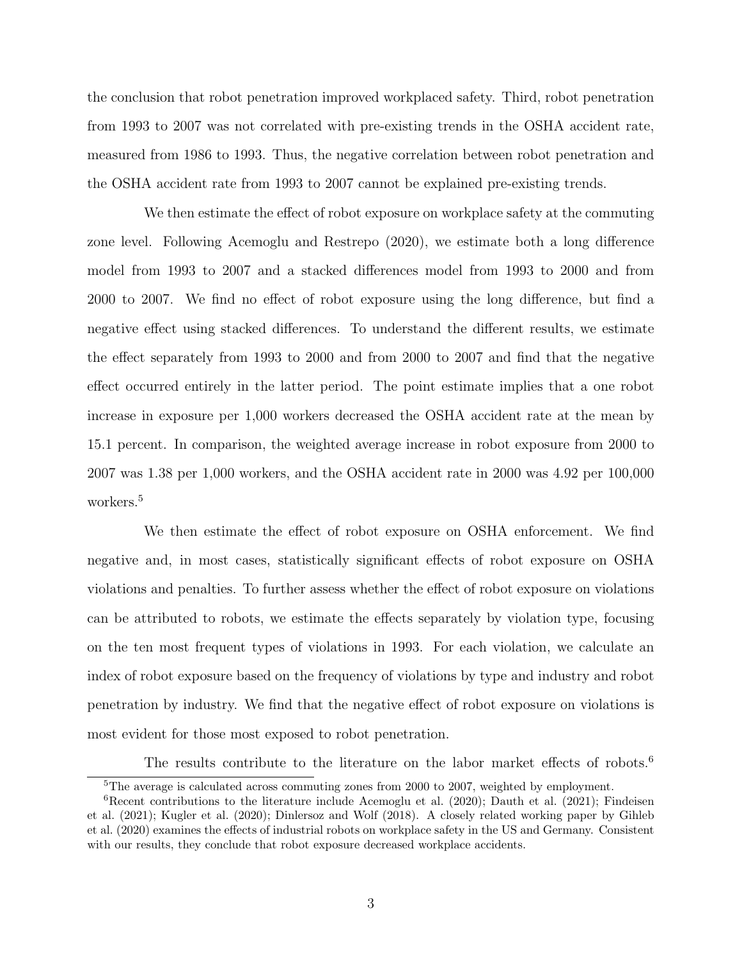the conclusion that robot penetration improved workplaced safety. Third, robot penetration from 1993 to 2007 was not correlated with pre-existing trends in the OSHA accident rate, measured from 1986 to 1993. Thus, the negative correlation between robot penetration and the OSHA accident rate from 1993 to 2007 cannot be explained pre-existing trends.

We then estimate the effect of robot exposure on workplace safety at the commuting zone level. Following Acemoglu and Restrepo (2020), we estimate both a long difference model from 1993 to 2007 and a stacked differences model from 1993 to 2000 and from 2000 to 2007. We find no effect of robot exposure using the long difference, but find a negative effect using stacked differences. To understand the different results, we estimate the effect separately from 1993 to 2000 and from 2000 to 2007 and find that the negative effect occurred entirely in the latter period. The point estimate implies that a one robot increase in exposure per 1,000 workers decreased the OSHA accident rate at the mean by 15.1 percent. In comparison, the weighted average increase in robot exposure from 2000 to 2007 was 1.38 per 1,000 workers, and the OSHA accident rate in 2000 was 4.92 per 100,000 workers.<sup>5</sup>

We then estimate the effect of robot exposure on OSHA enforcement. We find negative and, in most cases, statistically significant effects of robot exposure on OSHA violations and penalties. To further assess whether the effect of robot exposure on violations can be attributed to robots, we estimate the effects separately by violation type, focusing on the ten most frequent types of violations in 1993. For each violation, we calculate an index of robot exposure based on the frequency of violations by type and industry and robot penetration by industry. We find that the negative effect of robot exposure on violations is most evident for those most exposed to robot penetration.

The results contribute to the literature on the labor market effects of robots.<sup>6</sup>

<sup>5</sup>The average is calculated across commuting zones from 2000 to 2007, weighted by employment.

<sup>&</sup>lt;sup>6</sup>Recent contributions to the literature include Acemoglu et al. (2020); Dauth et al. (2021); Findeisen et al. (2021); Kugler et al. (2020); Dinlersoz and Wolf (2018). A closely related working paper by Gihleb et al. (2020) examines the effects of industrial robots on workplace safety in the US and Germany. Consistent with our results, they conclude that robot exposure decreased workplace accidents.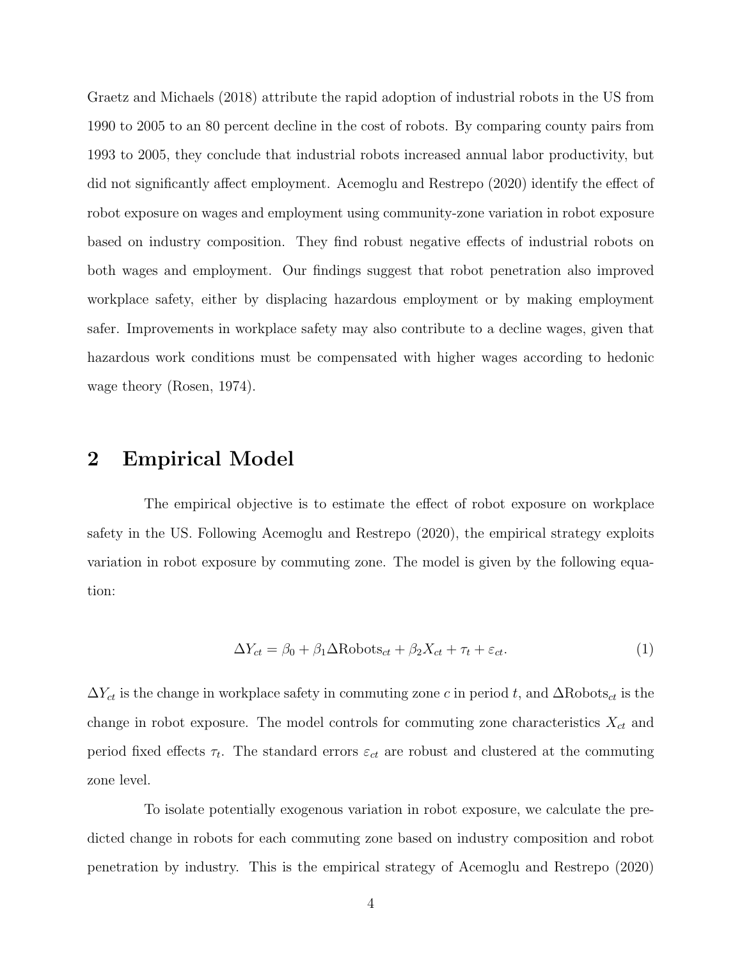Graetz and Michaels (2018) attribute the rapid adoption of industrial robots in the US from 1990 to 2005 to an 80 percent decline in the cost of robots. By comparing county pairs from 1993 to 2005, they conclude that industrial robots increased annual labor productivity, but did not significantly affect employment. Acemoglu and Restrepo (2020) identify the effect of robot exposure on wages and employment using community-zone variation in robot exposure based on industry composition. They find robust negative effects of industrial robots on both wages and employment. Our findings suggest that robot penetration also improved workplace safety, either by displacing hazardous employment or by making employment safer. Improvements in workplace safety may also contribute to a decline wages, given that hazardous work conditions must be compensated with higher wages according to hedonic wage theory (Rosen, 1974).

## 2 Empirical Model

The empirical objective is to estimate the effect of robot exposure on workplace safety in the US. Following Acemoglu and Restrepo (2020), the empirical strategy exploits variation in robot exposure by commuting zone. The model is given by the following equation:

$$
\Delta Y_{ct} = \beta_0 + \beta_1 \Delta \text{Robots}_{ct} + \beta_2 X_{ct} + \tau_t + \varepsilon_{ct}.
$$
\n(1)

 $\Delta Y_{ct}$  is the change in workplace safety in commuting zone c in period t, and  $\Delta \text{Robots}_{ct}$  is the change in robot exposure. The model controls for commuting zone characteristics  $X_{ct}$  and period fixed effects  $\tau_t$ . The standard errors  $\varepsilon_{ct}$  are robust and clustered at the commuting zone level.

To isolate potentially exogenous variation in robot exposure, we calculate the predicted change in robots for each commuting zone based on industry composition and robot penetration by industry. This is the empirical strategy of Acemoglu and Restrepo (2020)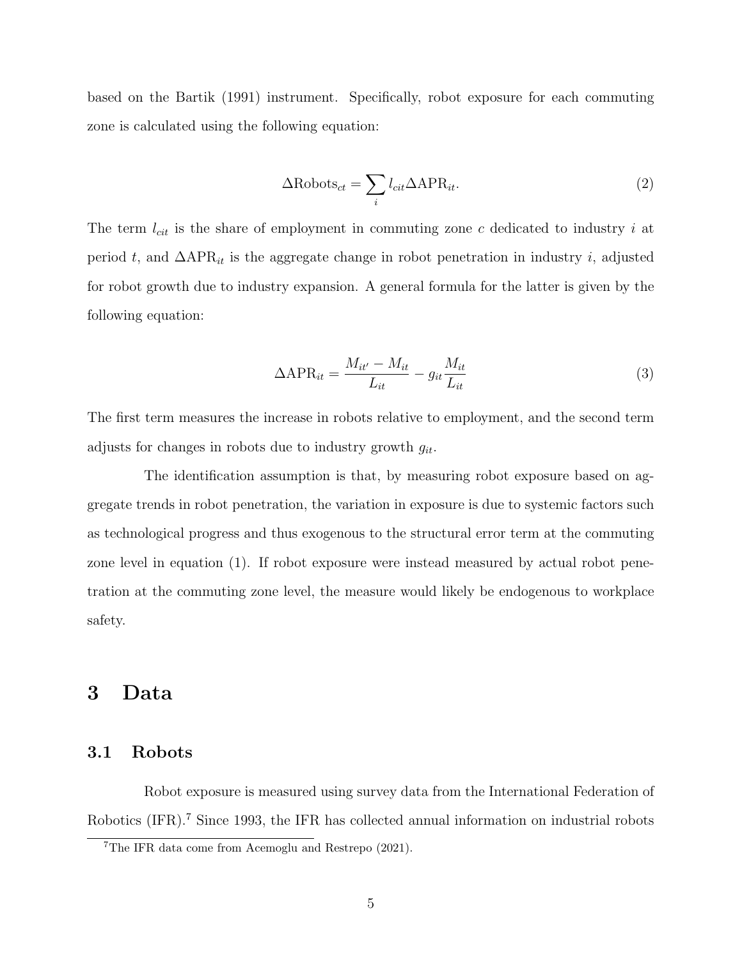based on the Bartik (1991) instrument. Specifically, robot exposure for each commuting zone is calculated using the following equation:

$$
\Delta \text{Robots}_{ct} = \sum_{i} l_{cit} \Delta \text{APR}_{it}.
$$
\n(2)

The term  $l_{cit}$  is the share of employment in commuting zone c dedicated to industry i at period t, and  $\Delta APR_{it}$  is the aggregate change in robot penetration in industry i, adjusted for robot growth due to industry expansion. A general formula for the latter is given by the following equation:

$$
\Delta APR_{it} = \frac{M_{it'} - M_{it}}{L_{it}} - g_{it} \frac{M_{it}}{L_{it}} \tag{3}
$$

The first term measures the increase in robots relative to employment, and the second term adjusts for changes in robots due to industry growth  $g_{it}$ .

The identification assumption is that, by measuring robot exposure based on aggregate trends in robot penetration, the variation in exposure is due to systemic factors such as technological progress and thus exogenous to the structural error term at the commuting zone level in equation (1). If robot exposure were instead measured by actual robot penetration at the commuting zone level, the measure would likely be endogenous to workplace safety.

## 3 Data

#### 3.1 Robots

Robot exposure is measured using survey data from the International Federation of Robotics (IFR).<sup>7</sup> Since 1993, the IFR has collected annual information on industrial robots

<sup>7</sup>The IFR data come from Acemoglu and Restrepo (2021).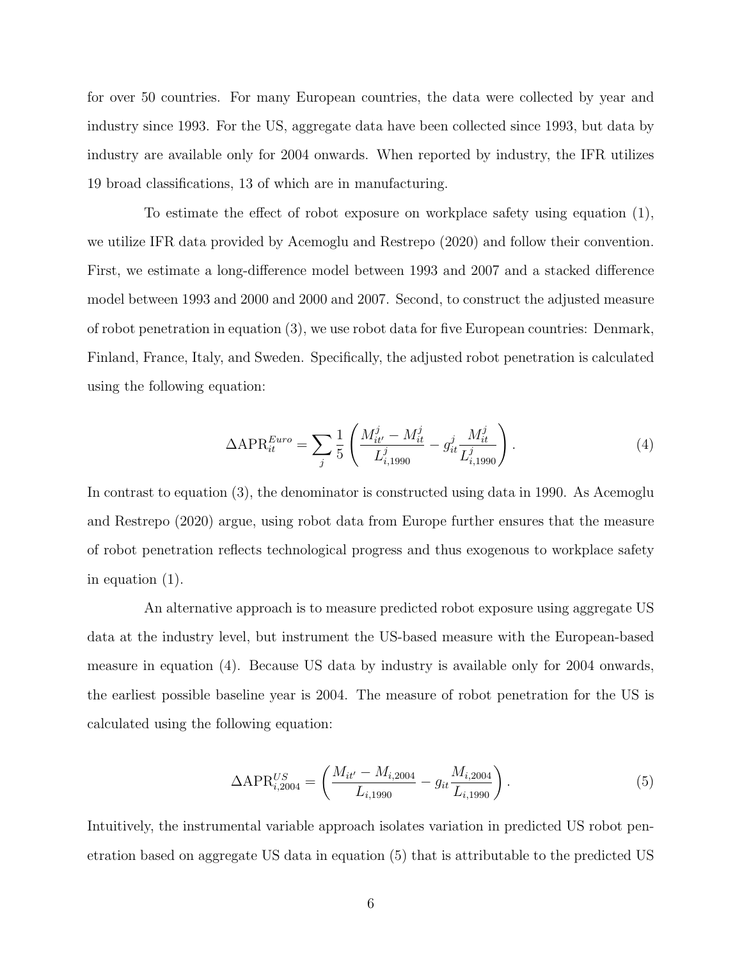for over 50 countries. For many European countries, the data were collected by year and industry since 1993. For the US, aggregate data have been collected since 1993, but data by industry are available only for 2004 onwards. When reported by industry, the IFR utilizes 19 broad classifications, 13 of which are in manufacturing.

To estimate the effect of robot exposure on workplace safety using equation (1), we utilize IFR data provided by Acemoglu and Restrepo (2020) and follow their convention. First, we estimate a long-difference model between 1993 and 2007 and a stacked difference model between 1993 and 2000 and 2000 and 2007. Second, to construct the adjusted measure of robot penetration in equation (3), we use robot data for five European countries: Denmark, Finland, France, Italy, and Sweden. Specifically, the adjusted robot penetration is calculated using the following equation:

$$
\Delta APR_{it}^{Euro} = \sum_{j} \frac{1}{5} \left( \frac{M_{it'}^{j} - M_{it}^{j}}{L_{i,1990}^{j}} - g_{it}^{j} \frac{M_{it}^{j}}{L_{i,1990}^{j}} \right).
$$
\n(4)

In contrast to equation (3), the denominator is constructed using data in 1990. As Acemoglu and Restrepo (2020) argue, using robot data from Europe further ensures that the measure of robot penetration reflects technological progress and thus exogenous to workplace safety in equation (1).

An alternative approach is to measure predicted robot exposure using aggregate US data at the industry level, but instrument the US-based measure with the European-based measure in equation (4). Because US data by industry is available only for 2004 onwards, the earliest possible baseline year is 2004. The measure of robot penetration for the US is calculated using the following equation:

$$
\Delta APR_{i,2004}^{US} = \left(\frac{M_{it'} - M_{i,2004}}{L_{i,1990}} - g_{it} \frac{M_{i,2004}}{L_{i,1990}}\right).
$$
\n(5)

Intuitively, the instrumental variable approach isolates variation in predicted US robot penetration based on aggregate US data in equation (5) that is attributable to the predicted US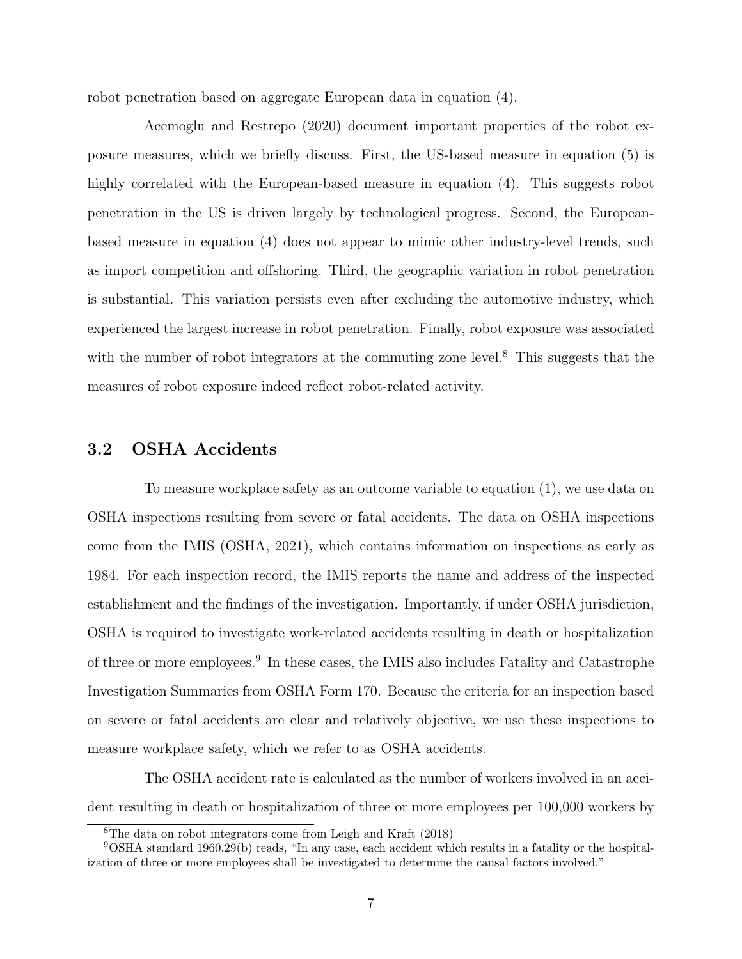robot penetration based on aggregate European data in equation (4).

Acemoglu and Restrepo (2020) document important properties of the robot exposure measures, which we briefly discuss. First, the US-based measure in equation (5) is highly correlated with the European-based measure in equation (4). This suggests robot penetration in the US is driven largely by technological progress. Second, the Europeanbased measure in equation (4) does not appear to mimic other industry-level trends, such as import competition and offshoring. Third, the geographic variation in robot penetration is substantial. This variation persists even after excluding the automotive industry, which experienced the largest increase in robot penetration. Finally, robot exposure was associated with the number of robot integrators at the commuting zone level.<sup>8</sup> This suggests that the measures of robot exposure indeed reflect robot-related activity.

#### 3.2 OSHA Accidents

To measure workplace safety as an outcome variable to equation (1), we use data on OSHA inspections resulting from severe or fatal accidents. The data on OSHA inspections come from the IMIS (OSHA, 2021), which contains information on inspections as early as 1984. For each inspection record, the IMIS reports the name and address of the inspected establishment and the findings of the investigation. Importantly, if under OSHA jurisdiction, OSHA is required to investigate work-related accidents resulting in death or hospitalization of three or more employees.<sup>9</sup> In these cases, the IMIS also includes Fatality and Catastrophe Investigation Summaries from OSHA Form 170. Because the criteria for an inspection based on severe or fatal accidents are clear and relatively objective, we use these inspections to measure workplace safety, which we refer to as OSHA accidents.

The OSHA accident rate is calculated as the number of workers involved in an accident resulting in death or hospitalization of three or more employees per 100,000 workers by

<sup>8</sup>The data on robot integrators come from Leigh and Kraft (2018)

<sup>9</sup>OSHA standard 1960.29(b) reads, "In any case, each accident which results in a fatality or the hospitalization of three or more employees shall be investigated to determine the causal factors involved."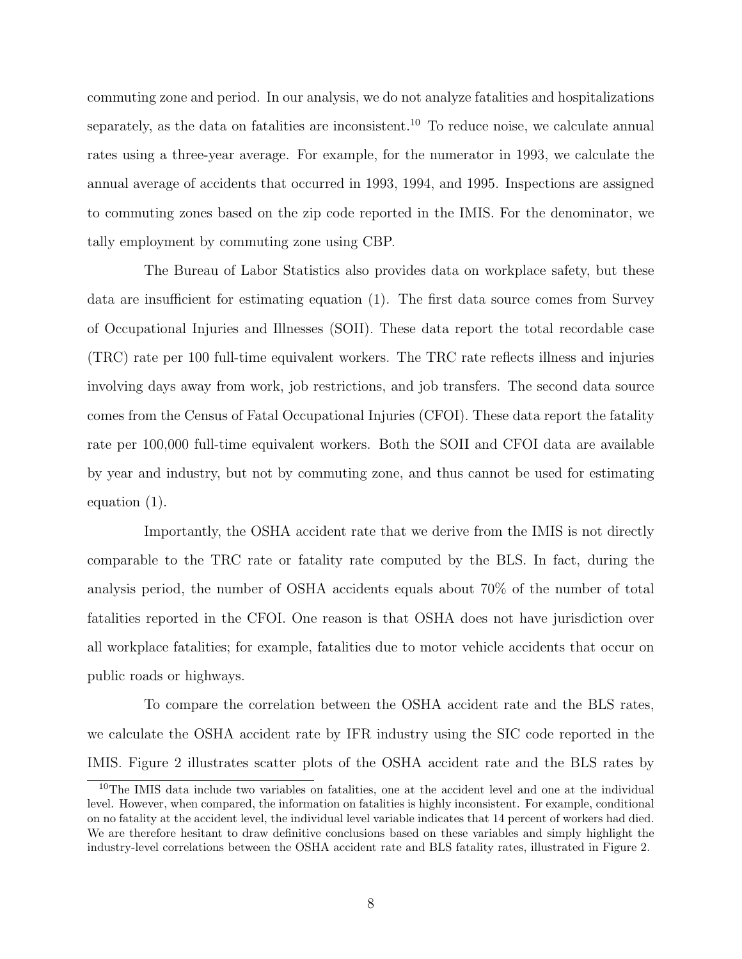commuting zone and period. In our analysis, we do not analyze fatalities and hospitalizations separately, as the data on fatalities are inconsistent.<sup>10</sup> To reduce noise, we calculate annual rates using a three-year average. For example, for the numerator in 1993, we calculate the annual average of accidents that occurred in 1993, 1994, and 1995. Inspections are assigned to commuting zones based on the zip code reported in the IMIS. For the denominator, we tally employment by commuting zone using CBP.

The Bureau of Labor Statistics also provides data on workplace safety, but these data are insufficient for estimating equation (1). The first data source comes from Survey of Occupational Injuries and Illnesses (SOII). These data report the total recordable case (TRC) rate per 100 full-time equivalent workers. The TRC rate reflects illness and injuries involving days away from work, job restrictions, and job transfers. The second data source comes from the Census of Fatal Occupational Injuries (CFOI). These data report the fatality rate per 100,000 full-time equivalent workers. Both the SOII and CFOI data are available by year and industry, but not by commuting zone, and thus cannot be used for estimating equation (1).

Importantly, the OSHA accident rate that we derive from the IMIS is not directly comparable to the TRC rate or fatality rate computed by the BLS. In fact, during the analysis period, the number of OSHA accidents equals about 70% of the number of total fatalities reported in the CFOI. One reason is that OSHA does not have jurisdiction over all workplace fatalities; for example, fatalities due to motor vehicle accidents that occur on public roads or highways.

To compare the correlation between the OSHA accident rate and the BLS rates, we calculate the OSHA accident rate by IFR industry using the SIC code reported in the IMIS. Figure 2 illustrates scatter plots of the OSHA accident rate and the BLS rates by

<sup>10</sup>The IMIS data include two variables on fatalities, one at the accident level and one at the individual level. However, when compared, the information on fatalities is highly inconsistent. For example, conditional on no fatality at the accident level, the individual level variable indicates that 14 percent of workers had died. We are therefore hesitant to draw definitive conclusions based on these variables and simply highlight the industry-level correlations between the OSHA accident rate and BLS fatality rates, illustrated in Figure 2.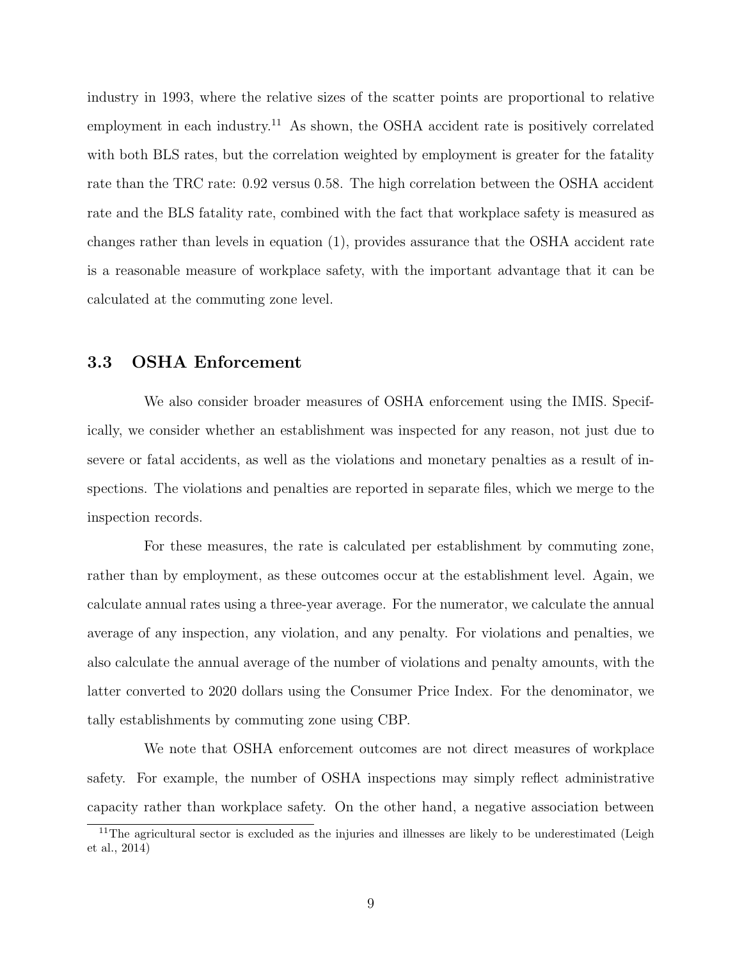industry in 1993, where the relative sizes of the scatter points are proportional to relative employment in each industry.<sup>11</sup> As shown, the OSHA accident rate is positively correlated with both BLS rates, but the correlation weighted by employment is greater for the fatality rate than the TRC rate: 0.92 versus 0.58. The high correlation between the OSHA accident rate and the BLS fatality rate, combined with the fact that workplace safety is measured as changes rather than levels in equation (1), provides assurance that the OSHA accident rate is a reasonable measure of workplace safety, with the important advantage that it can be calculated at the commuting zone level.

#### 3.3 OSHA Enforcement

We also consider broader measures of OSHA enforcement using the IMIS. Specifically, we consider whether an establishment was inspected for any reason, not just due to severe or fatal accidents, as well as the violations and monetary penalties as a result of inspections. The violations and penalties are reported in separate files, which we merge to the inspection records.

For these measures, the rate is calculated per establishment by commuting zone, rather than by employment, as these outcomes occur at the establishment level. Again, we calculate annual rates using a three-year average. For the numerator, we calculate the annual average of any inspection, any violation, and any penalty. For violations and penalties, we also calculate the annual average of the number of violations and penalty amounts, with the latter converted to 2020 dollars using the Consumer Price Index. For the denominator, we tally establishments by commuting zone using CBP.

We note that OSHA enforcement outcomes are not direct measures of workplace safety. For example, the number of OSHA inspections may simply reflect administrative capacity rather than workplace safety. On the other hand, a negative association between

<sup>&</sup>lt;sup>11</sup>The agricultural sector is excluded as the injuries and illnesses are likely to be underestimated (Leigh et al., 2014)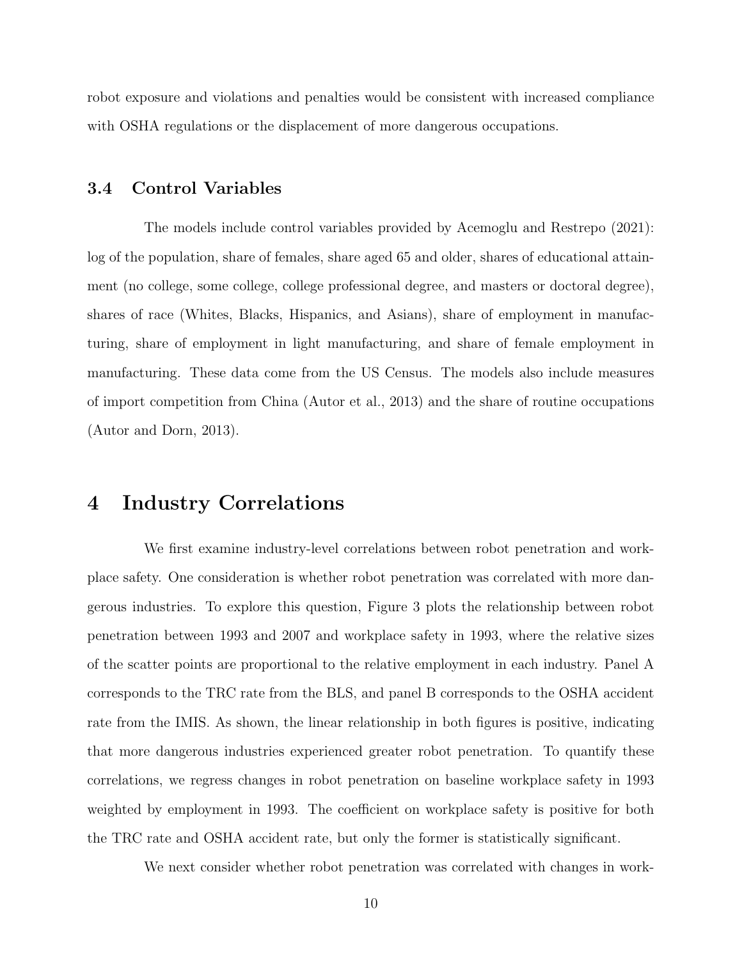robot exposure and violations and penalties would be consistent with increased compliance with OSHA regulations or the displacement of more dangerous occupations.

#### 3.4 Control Variables

The models include control variables provided by Acemoglu and Restrepo (2021): log of the population, share of females, share aged 65 and older, shares of educational attainment (no college, some college, college professional degree, and masters or doctoral degree), shares of race (Whites, Blacks, Hispanics, and Asians), share of employment in manufacturing, share of employment in light manufacturing, and share of female employment in manufacturing. These data come from the US Census. The models also include measures of import competition from China (Autor et al., 2013) and the share of routine occupations (Autor and Dorn, 2013).

# 4 Industry Correlations

We first examine industry-level correlations between robot penetration and workplace safety. One consideration is whether robot penetration was correlated with more dangerous industries. To explore this question, Figure 3 plots the relationship between robot penetration between 1993 and 2007 and workplace safety in 1993, where the relative sizes of the scatter points are proportional to the relative employment in each industry. Panel A corresponds to the TRC rate from the BLS, and panel B corresponds to the OSHA accident rate from the IMIS. As shown, the linear relationship in both figures is positive, indicating that more dangerous industries experienced greater robot penetration. To quantify these correlations, we regress changes in robot penetration on baseline workplace safety in 1993 weighted by employment in 1993. The coefficient on workplace safety is positive for both the TRC rate and OSHA accident rate, but only the former is statistically significant.

We next consider whether robot penetration was correlated with changes in work-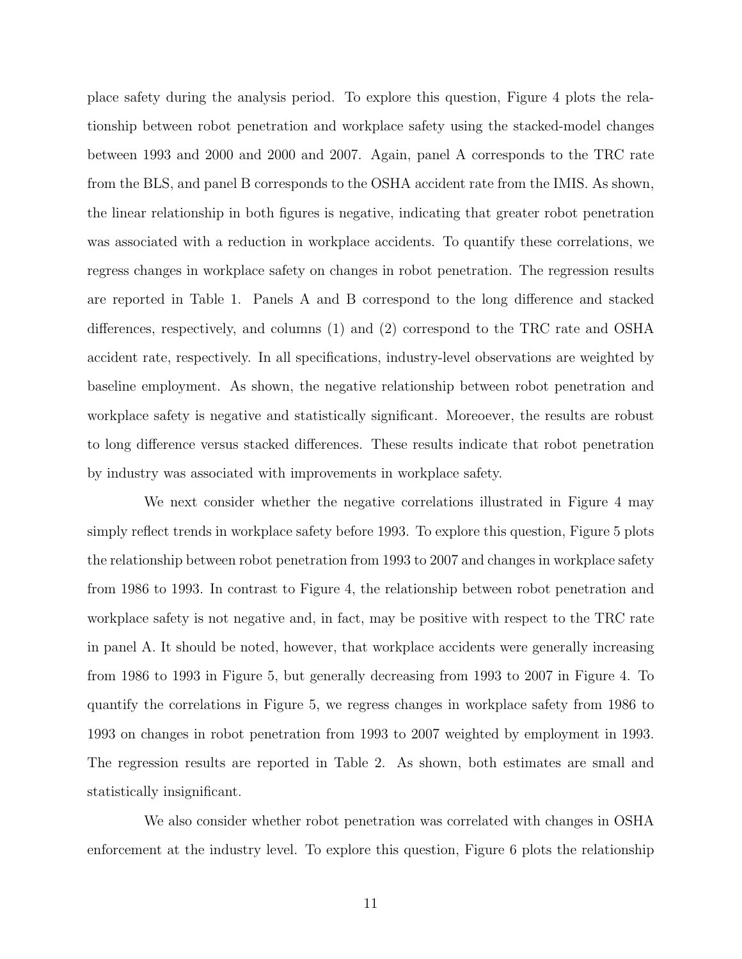place safety during the analysis period. To explore this question, Figure 4 plots the relationship between robot penetration and workplace safety using the stacked-model changes between 1993 and 2000 and 2000 and 2007. Again, panel A corresponds to the TRC rate from the BLS, and panel B corresponds to the OSHA accident rate from the IMIS. As shown, the linear relationship in both figures is negative, indicating that greater robot penetration was associated with a reduction in workplace accidents. To quantify these correlations, we regress changes in workplace safety on changes in robot penetration. The regression results are reported in Table 1. Panels A and B correspond to the long difference and stacked differences, respectively, and columns (1) and (2) correspond to the TRC rate and OSHA accident rate, respectively. In all specifications, industry-level observations are weighted by baseline employment. As shown, the negative relationship between robot penetration and workplace safety is negative and statistically significant. Moreoever, the results are robust to long difference versus stacked differences. These results indicate that robot penetration by industry was associated with improvements in workplace safety.

We next consider whether the negative correlations illustrated in Figure 4 may simply reflect trends in workplace safety before 1993. To explore this question, Figure 5 plots the relationship between robot penetration from 1993 to 2007 and changes in workplace safety from 1986 to 1993. In contrast to Figure 4, the relationship between robot penetration and workplace safety is not negative and, in fact, may be positive with respect to the TRC rate in panel A. It should be noted, however, that workplace accidents were generally increasing from 1986 to 1993 in Figure 5, but generally decreasing from 1993 to 2007 in Figure 4. To quantify the correlations in Figure 5, we regress changes in workplace safety from 1986 to 1993 on changes in robot penetration from 1993 to 2007 weighted by employment in 1993. The regression results are reported in Table 2. As shown, both estimates are small and statistically insignificant.

We also consider whether robot penetration was correlated with changes in OSHA enforcement at the industry level. To explore this question, Figure 6 plots the relationship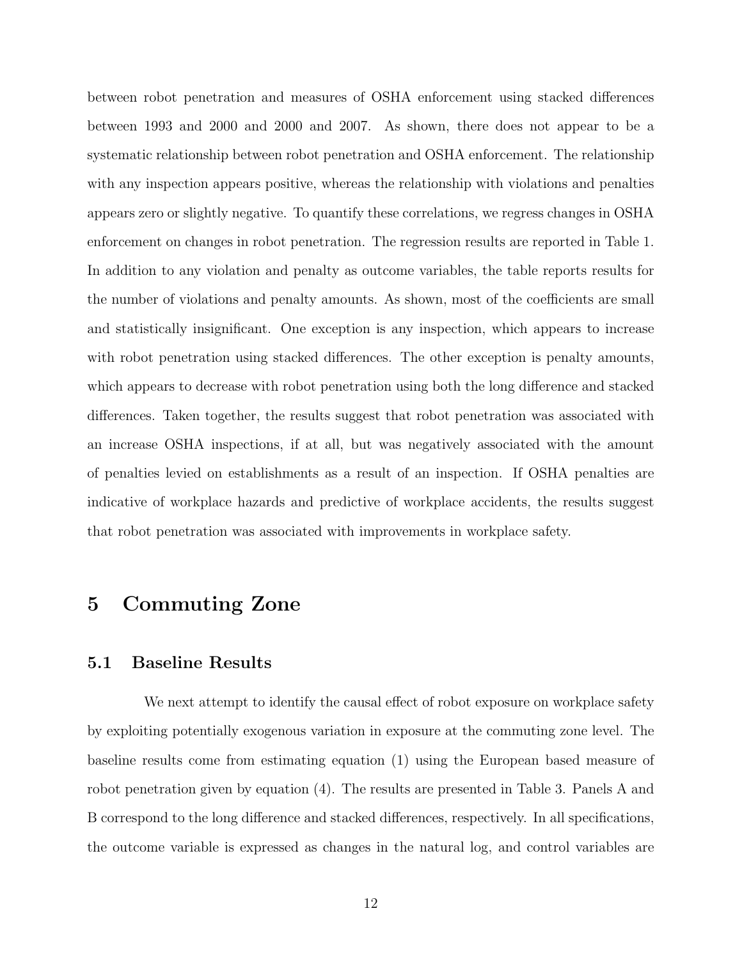between robot penetration and measures of OSHA enforcement using stacked differences between 1993 and 2000 and 2000 and 2007. As shown, there does not appear to be a systematic relationship between robot penetration and OSHA enforcement. The relationship with any inspection appears positive, whereas the relationship with violations and penalties appears zero or slightly negative. To quantify these correlations, we regress changes in OSHA enforcement on changes in robot penetration. The regression results are reported in Table 1. In addition to any violation and penalty as outcome variables, the table reports results for the number of violations and penalty amounts. As shown, most of the coefficients are small and statistically insignificant. One exception is any inspection, which appears to increase with robot penetration using stacked differences. The other exception is penalty amounts, which appears to decrease with robot penetration using both the long difference and stacked differences. Taken together, the results suggest that robot penetration was associated with an increase OSHA inspections, if at all, but was negatively associated with the amount of penalties levied on establishments as a result of an inspection. If OSHA penalties are indicative of workplace hazards and predictive of workplace accidents, the results suggest that robot penetration was associated with improvements in workplace safety.

# 5 Commuting Zone

#### 5.1 Baseline Results

We next attempt to identify the causal effect of robot exposure on workplace safety by exploiting potentially exogenous variation in exposure at the commuting zone level. The baseline results come from estimating equation (1) using the European based measure of robot penetration given by equation (4). The results are presented in Table 3. Panels A and B correspond to the long difference and stacked differences, respectively. In all specifications, the outcome variable is expressed as changes in the natural log, and control variables are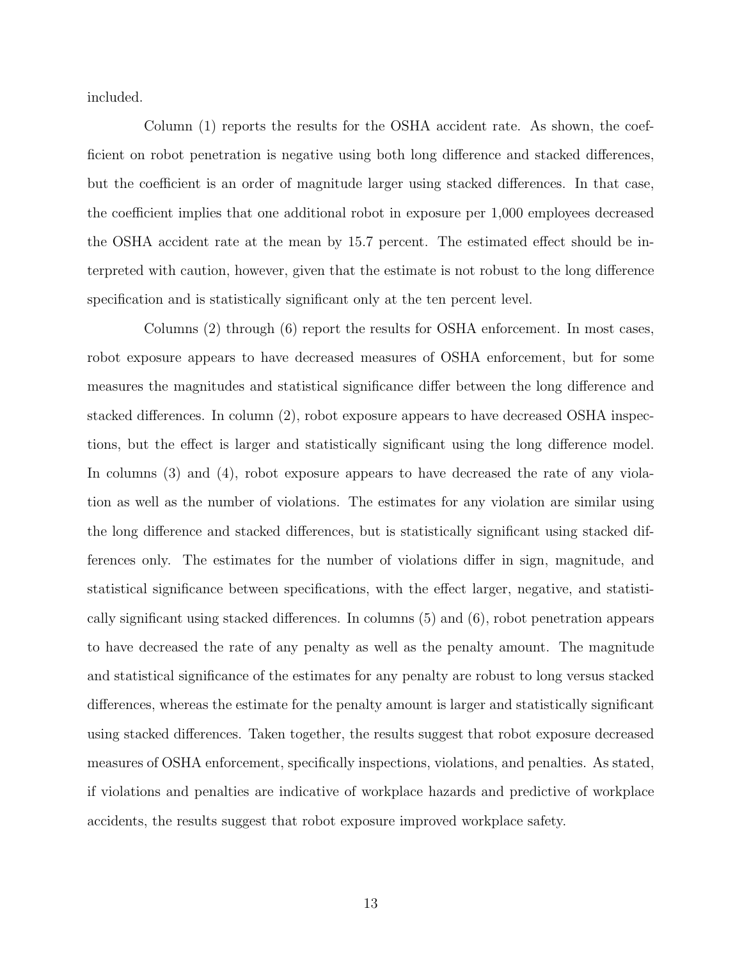included.

Column (1) reports the results for the OSHA accident rate. As shown, the coefficient on robot penetration is negative using both long difference and stacked differences, but the coefficient is an order of magnitude larger using stacked differences. In that case, the coefficient implies that one additional robot in exposure per 1,000 employees decreased the OSHA accident rate at the mean by 15.7 percent. The estimated effect should be interpreted with caution, however, given that the estimate is not robust to the long difference specification and is statistically significant only at the ten percent level.

Columns (2) through (6) report the results for OSHA enforcement. In most cases, robot exposure appears to have decreased measures of OSHA enforcement, but for some measures the magnitudes and statistical significance differ between the long difference and stacked differences. In column (2), robot exposure appears to have decreased OSHA inspections, but the effect is larger and statistically significant using the long difference model. In columns (3) and (4), robot exposure appears to have decreased the rate of any violation as well as the number of violations. The estimates for any violation are similar using the long difference and stacked differences, but is statistically significant using stacked differences only. The estimates for the number of violations differ in sign, magnitude, and statistical significance between specifications, with the effect larger, negative, and statistically significant using stacked differences. In columns (5) and (6), robot penetration appears to have decreased the rate of any penalty as well as the penalty amount. The magnitude and statistical significance of the estimates for any penalty are robust to long versus stacked differences, whereas the estimate for the penalty amount is larger and statistically significant using stacked differences. Taken together, the results suggest that robot exposure decreased measures of OSHA enforcement, specifically inspections, violations, and penalties. As stated, if violations and penalties are indicative of workplace hazards and predictive of workplace accidents, the results suggest that robot exposure improved workplace safety.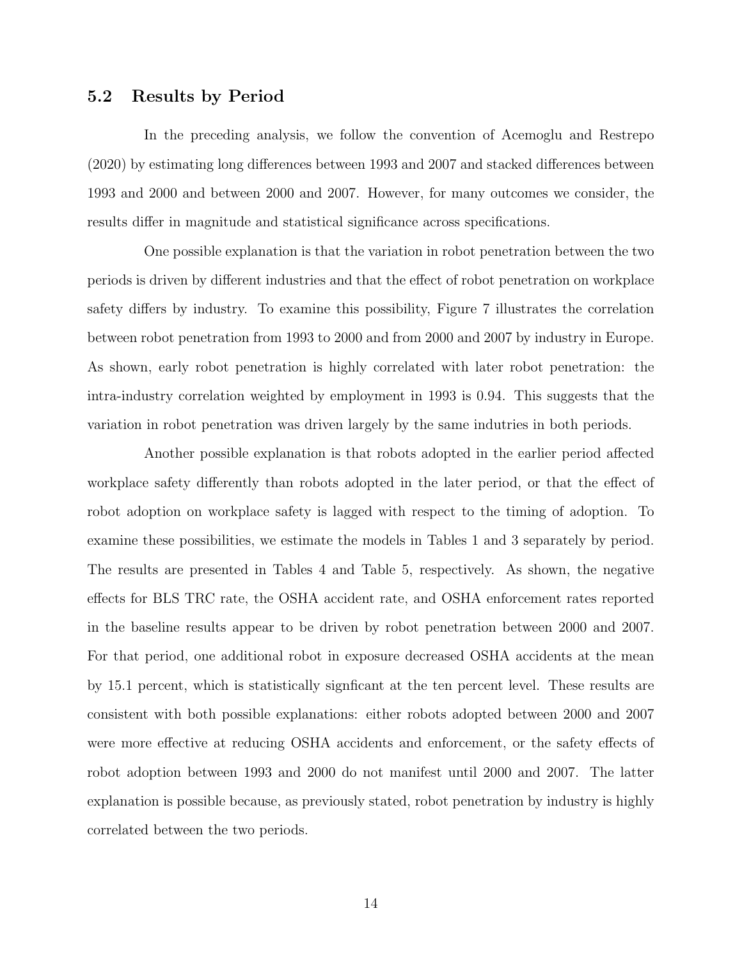#### 5.2 Results by Period

In the preceding analysis, we follow the convention of Acemoglu and Restrepo (2020) by estimating long differences between 1993 and 2007 and stacked differences between 1993 and 2000 and between 2000 and 2007. However, for many outcomes we consider, the results differ in magnitude and statistical significance across specifications.

One possible explanation is that the variation in robot penetration between the two periods is driven by different industries and that the effect of robot penetration on workplace safety differs by industry. To examine this possibility, Figure 7 illustrates the correlation between robot penetration from 1993 to 2000 and from 2000 and 2007 by industry in Europe. As shown, early robot penetration is highly correlated with later robot penetration: the intra-industry correlation weighted by employment in 1993 is 0.94. This suggests that the variation in robot penetration was driven largely by the same indutries in both periods.

Another possible explanation is that robots adopted in the earlier period affected workplace safety differently than robots adopted in the later period, or that the effect of robot adoption on workplace safety is lagged with respect to the timing of adoption. To examine these possibilities, we estimate the models in Tables 1 and 3 separately by period. The results are presented in Tables 4 and Table 5, respectively. As shown, the negative effects for BLS TRC rate, the OSHA accident rate, and OSHA enforcement rates reported in the baseline results appear to be driven by robot penetration between 2000 and 2007. For that period, one additional robot in exposure decreased OSHA accidents at the mean by 15.1 percent, which is statistically signficant at the ten percent level. These results are consistent with both possible explanations: either robots adopted between 2000 and 2007 were more effective at reducing OSHA accidents and enforcement, or the safety effects of robot adoption between 1993 and 2000 do not manifest until 2000 and 2007. The latter explanation is possible because, as previously stated, robot penetration by industry is highly correlated between the two periods.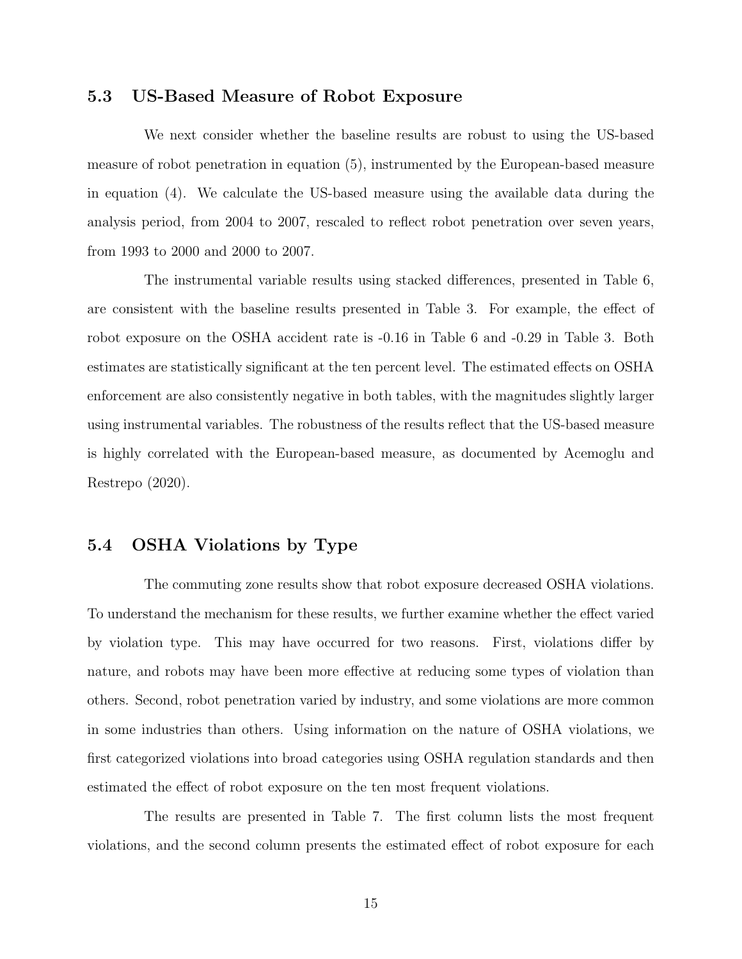#### 5.3 US-Based Measure of Robot Exposure

We next consider whether the baseline results are robust to using the US-based measure of robot penetration in equation (5), instrumented by the European-based measure in equation (4). We calculate the US-based measure using the available data during the analysis period, from 2004 to 2007, rescaled to reflect robot penetration over seven years, from 1993 to 2000 and 2000 to 2007.

The instrumental variable results using stacked differences, presented in Table 6, are consistent with the baseline results presented in Table 3. For example, the effect of robot exposure on the OSHA accident rate is -0.16 in Table 6 and -0.29 in Table 3. Both estimates are statistically significant at the ten percent level. The estimated effects on OSHA enforcement are also consistently negative in both tables, with the magnitudes slightly larger using instrumental variables. The robustness of the results reflect that the US-based measure is highly correlated with the European-based measure, as documented by Acemoglu and Restrepo (2020).

#### 5.4 OSHA Violations by Type

The commuting zone results show that robot exposure decreased OSHA violations. To understand the mechanism for these results, we further examine whether the effect varied by violation type. This may have occurred for two reasons. First, violations differ by nature, and robots may have been more effective at reducing some types of violation than others. Second, robot penetration varied by industry, and some violations are more common in some industries than others. Using information on the nature of OSHA violations, we first categorized violations into broad categories using OSHA regulation standards and then estimated the effect of robot exposure on the ten most frequent violations.

The results are presented in Table 7. The first column lists the most frequent violations, and the second column presents the estimated effect of robot exposure for each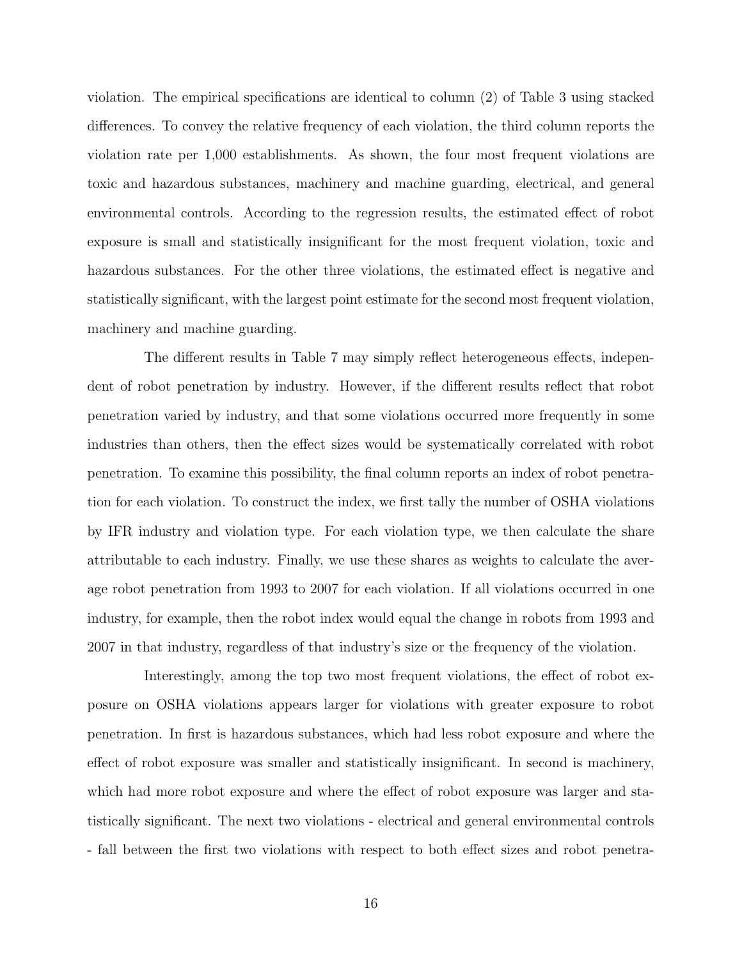violation. The empirical specifications are identical to column (2) of Table 3 using stacked differences. To convey the relative frequency of each violation, the third column reports the violation rate per 1,000 establishments. As shown, the four most frequent violations are toxic and hazardous substances, machinery and machine guarding, electrical, and general environmental controls. According to the regression results, the estimated effect of robot exposure is small and statistically insignificant for the most frequent violation, toxic and hazardous substances. For the other three violations, the estimated effect is negative and statistically significant, with the largest point estimate for the second most frequent violation, machinery and machine guarding.

The different results in Table 7 may simply reflect heterogeneous effects, independent of robot penetration by industry. However, if the different results reflect that robot penetration varied by industry, and that some violations occurred more frequently in some industries than others, then the effect sizes would be systematically correlated with robot penetration. To examine this possibility, the final column reports an index of robot penetration for each violation. To construct the index, we first tally the number of OSHA violations by IFR industry and violation type. For each violation type, we then calculate the share attributable to each industry. Finally, we use these shares as weights to calculate the average robot penetration from 1993 to 2007 for each violation. If all violations occurred in one industry, for example, then the robot index would equal the change in robots from 1993 and 2007 in that industry, regardless of that industry's size or the frequency of the violation.

Interestingly, among the top two most frequent violations, the effect of robot exposure on OSHA violations appears larger for violations with greater exposure to robot penetration. In first is hazardous substances, which had less robot exposure and where the effect of robot exposure was smaller and statistically insignificant. In second is machinery, which had more robot exposure and where the effect of robot exposure was larger and statistically significant. The next two violations - electrical and general environmental controls - fall between the first two violations with respect to both effect sizes and robot penetra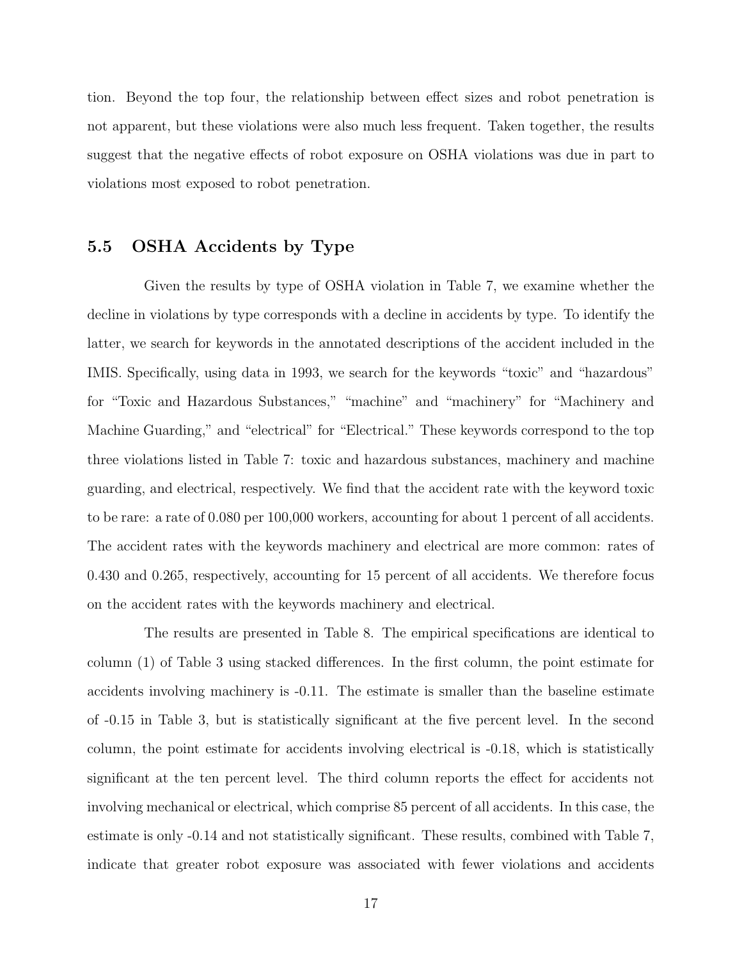tion. Beyond the top four, the relationship between effect sizes and robot penetration is not apparent, but these violations were also much less frequent. Taken together, the results suggest that the negative effects of robot exposure on OSHA violations was due in part to violations most exposed to robot penetration.

#### 5.5 OSHA Accidents by Type

Given the results by type of OSHA violation in Table 7, we examine whether the decline in violations by type corresponds with a decline in accidents by type. To identify the latter, we search for keywords in the annotated descriptions of the accident included in the IMIS. Specifically, using data in 1993, we search for the keywords "toxic" and "hazardous" for "Toxic and Hazardous Substances," "machine" and "machinery" for "Machinery and Machine Guarding," and "electrical" for "Electrical." These keywords correspond to the top three violations listed in Table 7: toxic and hazardous substances, machinery and machine guarding, and electrical, respectively. We find that the accident rate with the keyword toxic to be rare: a rate of 0.080 per 100,000 workers, accounting for about 1 percent of all accidents. The accident rates with the keywords machinery and electrical are more common: rates of 0.430 and 0.265, respectively, accounting for 15 percent of all accidents. We therefore focus on the accident rates with the keywords machinery and electrical.

The results are presented in Table 8. The empirical specifications are identical to column (1) of Table 3 using stacked differences. In the first column, the point estimate for accidents involving machinery is -0.11. The estimate is smaller than the baseline estimate of -0.15 in Table 3, but is statistically significant at the five percent level. In the second column, the point estimate for accidents involving electrical is -0.18, which is statistically significant at the ten percent level. The third column reports the effect for accidents not involving mechanical or electrical, which comprise 85 percent of all accidents. In this case, the estimate is only -0.14 and not statistically significant. These results, combined with Table 7, indicate that greater robot exposure was associated with fewer violations and accidents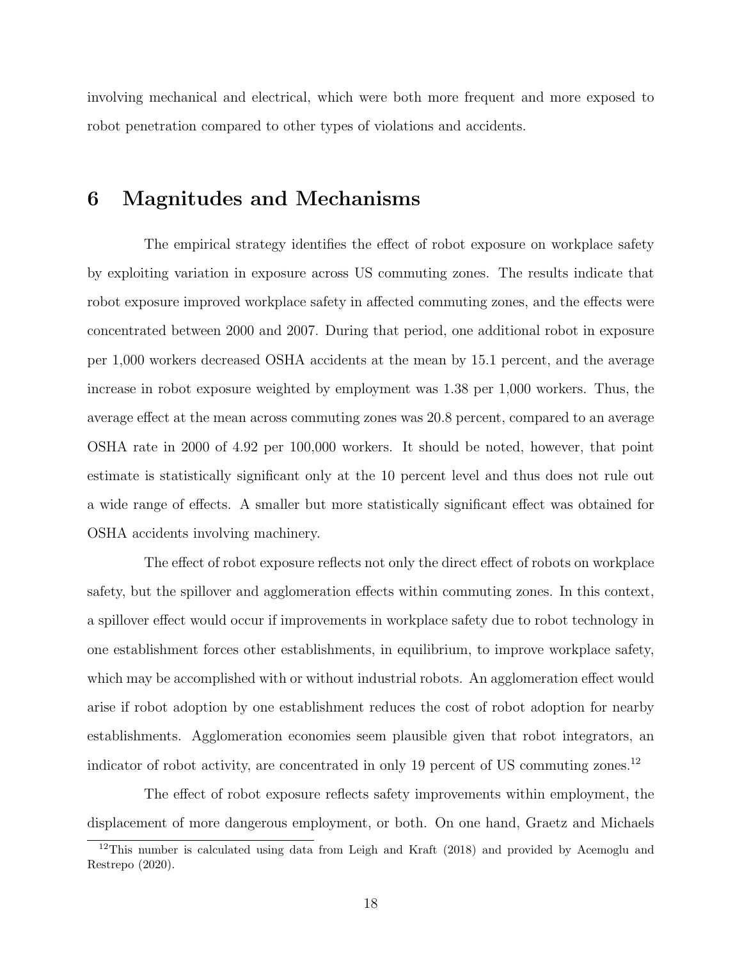involving mechanical and electrical, which were both more frequent and more exposed to robot penetration compared to other types of violations and accidents.

# 6 Magnitudes and Mechanisms

The empirical strategy identifies the effect of robot exposure on workplace safety by exploiting variation in exposure across US commuting zones. The results indicate that robot exposure improved workplace safety in affected commuting zones, and the effects were concentrated between 2000 and 2007. During that period, one additional robot in exposure per 1,000 workers decreased OSHA accidents at the mean by 15.1 percent, and the average increase in robot exposure weighted by employment was 1.38 per 1,000 workers. Thus, the average effect at the mean across commuting zones was 20.8 percent, compared to an average OSHA rate in 2000 of 4.92 per 100,000 workers. It should be noted, however, that point estimate is statistically significant only at the 10 percent level and thus does not rule out a wide range of effects. A smaller but more statistically significant effect was obtained for OSHA accidents involving machinery.

The effect of robot exposure reflects not only the direct effect of robots on workplace safety, but the spillover and agglomeration effects within commuting zones. In this context, a spillover effect would occur if improvements in workplace safety due to robot technology in one establishment forces other establishments, in equilibrium, to improve workplace safety, which may be accomplished with or without industrial robots. An agglomeration effect would arise if robot adoption by one establishment reduces the cost of robot adoption for nearby establishments. Agglomeration economies seem plausible given that robot integrators, an indicator of robot activity, are concentrated in only 19 percent of US commuting zones.<sup>12</sup>

The effect of robot exposure reflects safety improvements within employment, the displacement of more dangerous employment, or both. On one hand, Graetz and Michaels

<sup>&</sup>lt;sup>12</sup>This number is calculated using data from Leigh and Kraft (2018) and provided by Acemoglu and Restrepo (2020).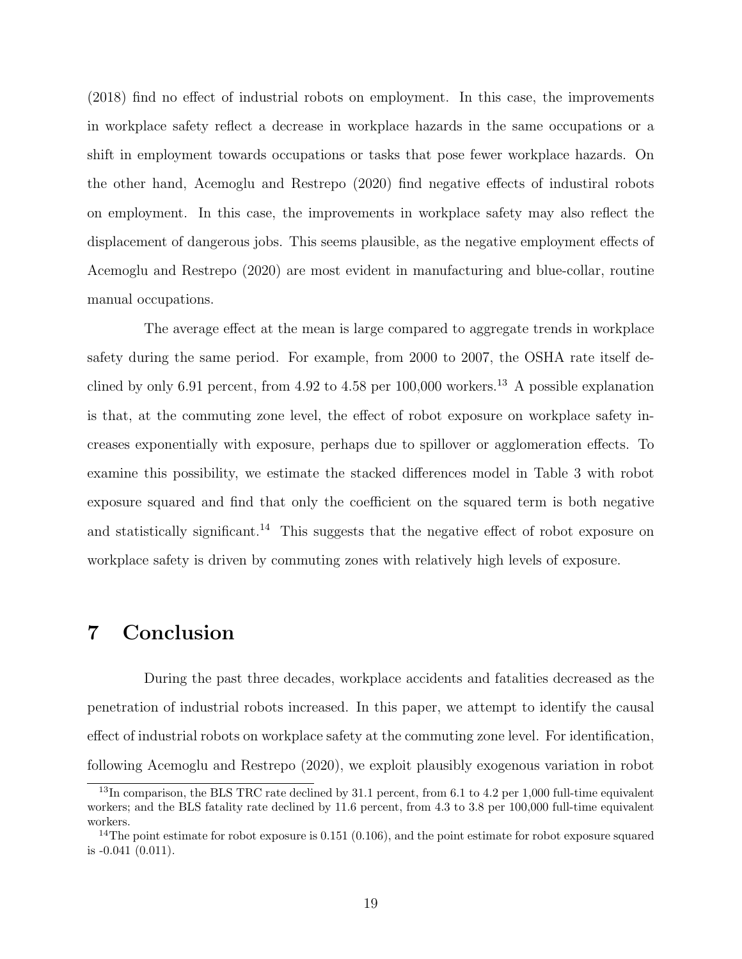(2018) find no effect of industrial robots on employment. In this case, the improvements in workplace safety reflect a decrease in workplace hazards in the same occupations or a shift in employment towards occupations or tasks that pose fewer workplace hazards. On the other hand, Acemoglu and Restrepo (2020) find negative effects of industiral robots on employment. In this case, the improvements in workplace safety may also reflect the displacement of dangerous jobs. This seems plausible, as the negative employment effects of Acemoglu and Restrepo (2020) are most evident in manufacturing and blue-collar, routine manual occupations.

The average effect at the mean is large compared to aggregate trends in workplace safety during the same period. For example, from 2000 to 2007, the OSHA rate itself declined by only 6.91 percent, from 4.92 to 4.58 per  $100,000$  workers.<sup>13</sup> A possible explanation is that, at the commuting zone level, the effect of robot exposure on workplace safety increases exponentially with exposure, perhaps due to spillover or agglomeration effects. To examine this possibility, we estimate the stacked differences model in Table 3 with robot exposure squared and find that only the coefficient on the squared term is both negative and statistically significant.<sup>14</sup> This suggests that the negative effect of robot exposure on workplace safety is driven by commuting zones with relatively high levels of exposure.

## 7 Conclusion

During the past three decades, workplace accidents and fatalities decreased as the penetration of industrial robots increased. In this paper, we attempt to identify the causal effect of industrial robots on workplace safety at the commuting zone level. For identification, following Acemoglu and Restrepo (2020), we exploit plausibly exogenous variation in robot

 $13$ In comparison, the BLS TRC rate declined by 31.1 percent, from 6.1 to 4.2 per 1,000 full-time equivalent workers; and the BLS fatality rate declined by 11.6 percent, from 4.3 to 3.8 per 100,000 full-time equivalent workers.

 $14$ The point estimate for robot exposure is 0.151 (0.106), and the point estimate for robot exposure squared is -0.041 (0.011).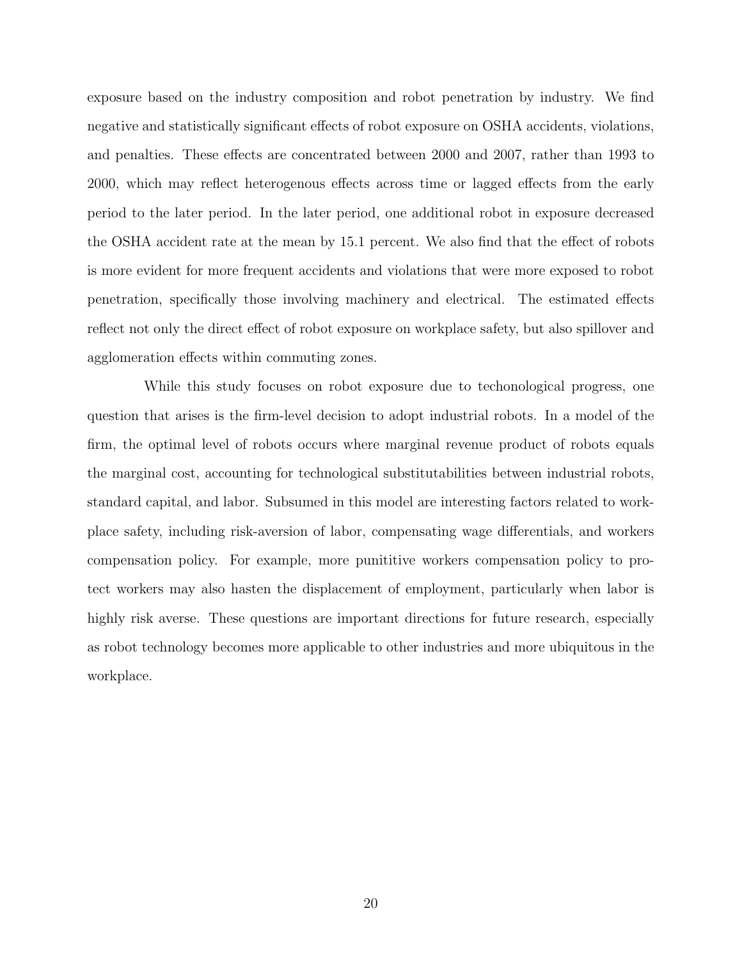exposure based on the industry composition and robot penetration by industry. We find negative and statistically significant effects of robot exposure on OSHA accidents, violations, and penalties. These effects are concentrated between 2000 and 2007, rather than 1993 to 2000, which may reflect heterogenous effects across time or lagged effects from the early period to the later period. In the later period, one additional robot in exposure decreased the OSHA accident rate at the mean by 15.1 percent. We also find that the effect of robots is more evident for more frequent accidents and violations that were more exposed to robot penetration, specifically those involving machinery and electrical. The estimated effects reflect not only the direct effect of robot exposure on workplace safety, but also spillover and agglomeration effects within commuting zones.

While this study focuses on robot exposure due to techonological progress, one question that arises is the firm-level decision to adopt industrial robots. In a model of the firm, the optimal level of robots occurs where marginal revenue product of robots equals the marginal cost, accounting for technological substitutabilities between industrial robots, standard capital, and labor. Subsumed in this model are interesting factors related to workplace safety, including risk-aversion of labor, compensating wage differentials, and workers compensation policy. For example, more punititive workers compensation policy to protect workers may also hasten the displacement of employment, particularly when labor is highly risk averse. These questions are important directions for future research, especially as robot technology becomes more applicable to other industries and more ubiquitous in the workplace.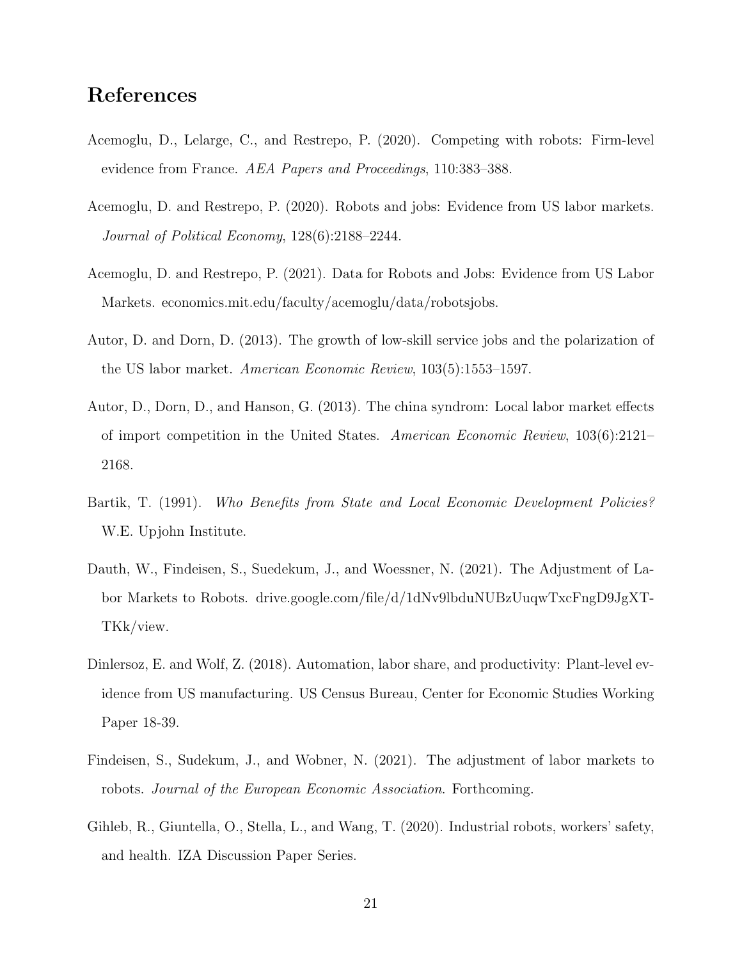# References

- Acemoglu, D., Lelarge, C., and Restrepo, P. (2020). Competing with robots: Firm-level evidence from France. AEA Papers and Proceedings, 110:383–388.
- Acemoglu, D. and Restrepo, P. (2020). Robots and jobs: Evidence from US labor markets. Journal of Political Economy, 128(6):2188–2244.
- Acemoglu, D. and Restrepo, P. (2021). Data for Robots and Jobs: Evidence from US Labor Markets. economics.mit.edu/faculty/acemoglu/data/robotsjobs.
- Autor, D. and Dorn, D. (2013). The growth of low-skill service jobs and the polarization of the US labor market. American Economic Review, 103(5):1553–1597.
- Autor, D., Dorn, D., and Hanson, G. (2013). The china syndrom: Local labor market effects of import competition in the United States. American Economic Review, 103(6):2121– 2168.
- Bartik, T. (1991). Who Benefits from State and Local Economic Development Policies? W.E. Upjohn Institute.
- Dauth, W., Findeisen, S., Suedekum, J., and Woessner, N. (2021). The Adjustment of Labor Markets to Robots. drive.google.com/file/d/1dNv9lbduNUBzUuqwTxcFngD9JgXT-TKk/view.
- Dinlersoz, E. and Wolf, Z. (2018). Automation, labor share, and productivity: Plant-level evidence from US manufacturing. US Census Bureau, Center for Economic Studies Working Paper 18-39.
- Findeisen, S., Sudekum, J., and Wobner, N. (2021). The adjustment of labor markets to robots. Journal of the European Economic Association. Forthcoming.
- Gihleb, R., Giuntella, O., Stella, L., and Wang, T. (2020). Industrial robots, workers' safety, and health. IZA Discussion Paper Series.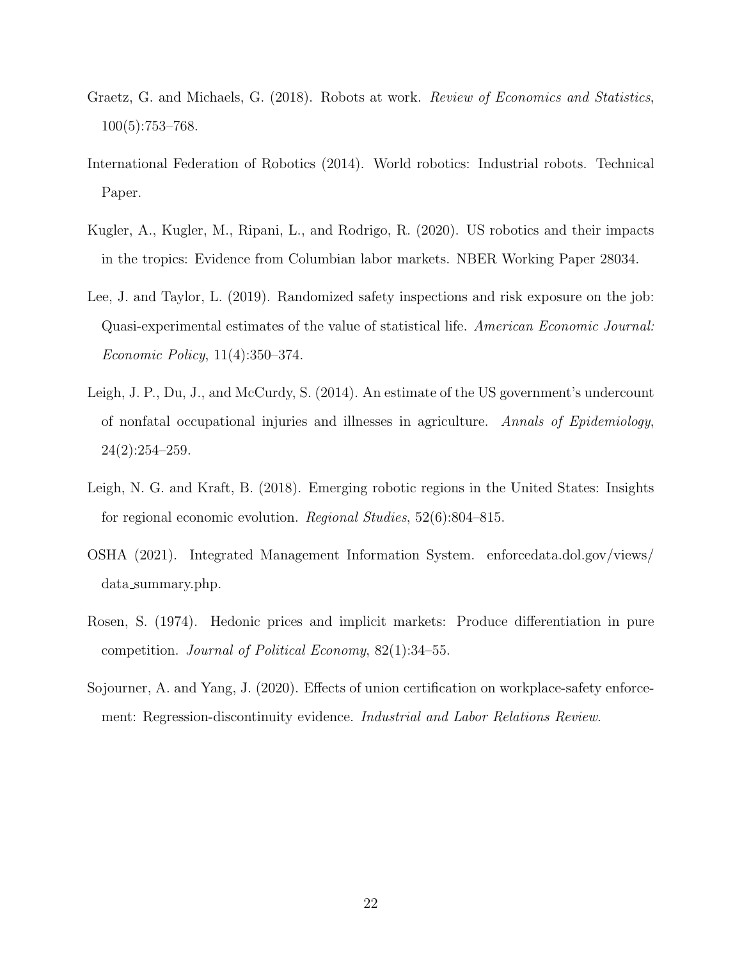- Graetz, G. and Michaels, G. (2018). Robots at work. Review of Economics and Statistics, 100(5):753–768.
- International Federation of Robotics (2014). World robotics: Industrial robots. Technical Paper.
- Kugler, A., Kugler, M., Ripani, L., and Rodrigo, R. (2020). US robotics and their impacts in the tropics: Evidence from Columbian labor markets. NBER Working Paper 28034.
- Lee, J. and Taylor, L. (2019). Randomized safety inspections and risk exposure on the job: Quasi-experimental estimates of the value of statistical life. American Economic Journal: Economic Policy, 11(4):350–374.
- Leigh, J. P., Du, J., and McCurdy, S. (2014). An estimate of the US government's undercount of nonfatal occupational injuries and illnesses in agriculture. Annals of Epidemiology, 24(2):254–259.
- Leigh, N. G. and Kraft, B. (2018). Emerging robotic regions in the United States: Insights for regional economic evolution. Regional Studies, 52(6):804–815.
- OSHA (2021). Integrated Management Information System. enforcedata.dol.gov/views/ data summary.php.
- Rosen, S. (1974). Hedonic prices and implicit markets: Produce differentiation in pure competition. Journal of Political Economy, 82(1):34–55.
- Sojourner, A. and Yang, J. (2020). Effects of union certification on workplace-safety enforcement: Regression-discontinuity evidence. Industrial and Labor Relations Review.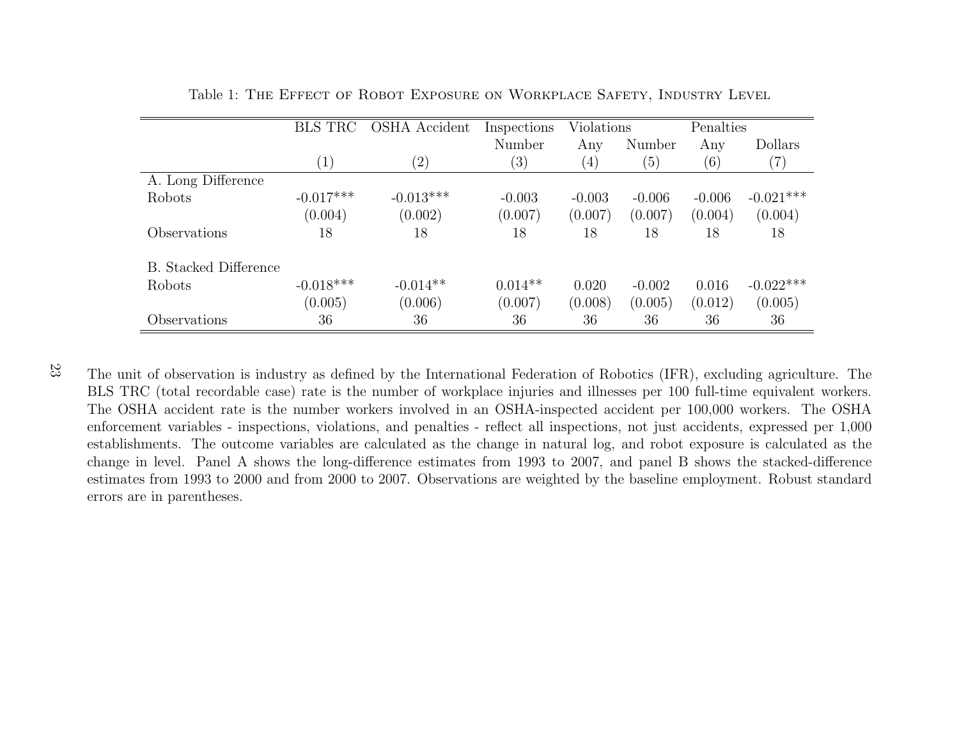|                              | <b>BLS TRC</b> | OSHA Accident | Inspections | <b>Violations</b> |          | Penalties         |               |
|------------------------------|----------------|---------------|-------------|-------------------|----------|-------------------|---------------|
|                              |                |               | Number      | Any               | Number   | Any               | Dollars       |
|                              | (1)            | (2)           | (3)         | $\left(4\right)$  | (5)      | $\left( 6\right)$ | $^{\prime}7)$ |
| A. Long Difference           |                |               |             |                   |          |                   |               |
| Robots                       | $-0.017***$    | $-0.013***$   | $-0.003$    | $-0.003$          | $-0.006$ | $-0.006$          | $-0.021***$   |
|                              | (0.004)        | (0.002)       | (0.007)     | (0.007)           | (0.007)  | (0.004)           | (0.004)       |
| Observations                 | 18             | 18            | 18          | 18                | 18       | 18                | 18            |
| <b>B.</b> Stacked Difference |                |               |             |                   |          |                   |               |
| Robots                       | $-0.018***$    | $-0.014**$    | $0.014**$   | 0.020             | $-0.002$ | 0.016             | $-0.022***$   |
|                              | (0.005)        | (0.006)       | (0.007)     | (0.008)           | (0.005)  | (0.012)           | (0.005)       |
| Observations                 | 36             | 36            | 36          | 36                | 36       | 36                | 36            |

Table 1: The Effect of Robot Exposure on Workplace Safety, Industry Level

23

The unit of observation is industry as defined by the International Federation of Robotics (IFR), excluding agriculture. The BLS TRC (total recordable case) rate is the number of workplace injuries and illnesses per <sup>100</sup> full-time equivalent workers.The OSHA accident rate is the number workers involved in an OSHA-inspected accident per 100,000 workers. The OSHA enforcement variables - inspections, violations, and penalties - reflect all inspections, not just accidents, expressed per 1,000 establishments. The outcome variables are calculated as the change in natural log, and robot exposure is calculated as the change in level. Panel A shows the long-difference estimates from 1993 to 2007, and panel B shows the stacked-difference estimates from 1993 to 2000 and from 2000 to 2007. Observations are weighted by the baseline employment. Robust standarderrors are in parentheses.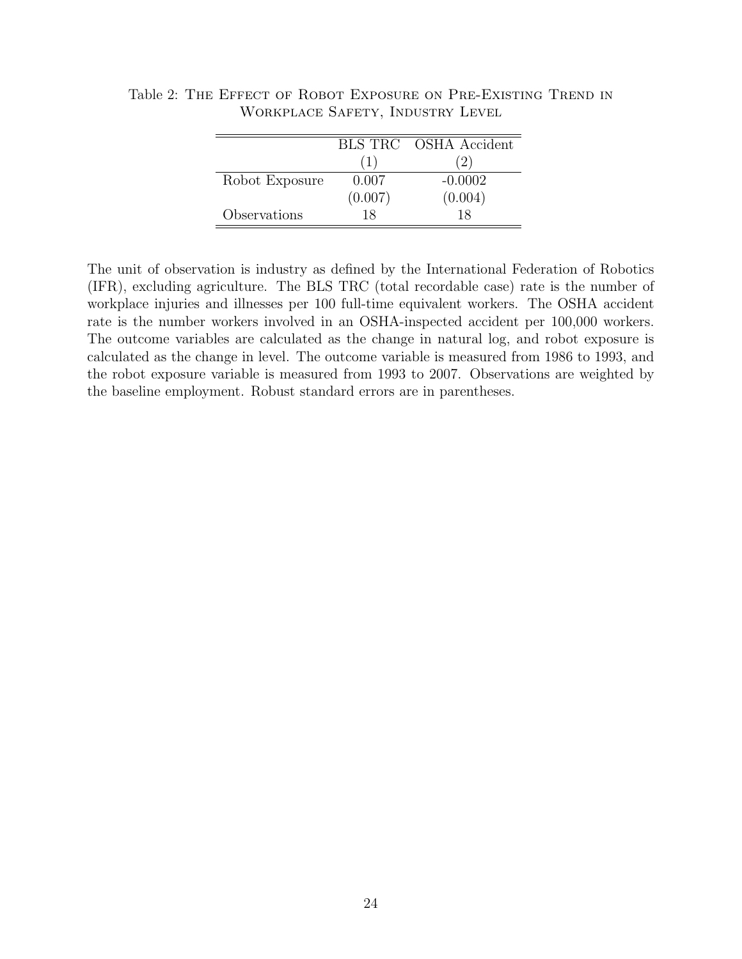|                |         | BLS TRC OSHA Accident |
|----------------|---------|-----------------------|
|                | (1)     | 2)                    |
| Robot Exposure | 0.007   | $-0.0002$             |
|                | (0.007) | (0.004)               |
| Observations   | 18      | 18                    |

Table 2: The Effect of Robot Exposure on Pre-Existing Trend in Workplace Safety, Industry Level

The unit of observation is industry as defined by the International Federation of Robotics (IFR), excluding agriculture. The BLS TRC (total recordable case) rate is the number of workplace injuries and illnesses per 100 full-time equivalent workers. The OSHA accident rate is the number workers involved in an OSHA-inspected accident per 100,000 workers. The outcome variables are calculated as the change in natural log, and robot exposure is calculated as the change in level. The outcome variable is measured from 1986 to 1993, and the robot exposure variable is measured from 1993 to 2007. Observations are weighted by the baseline employment. Robust standard errors are in parentheses.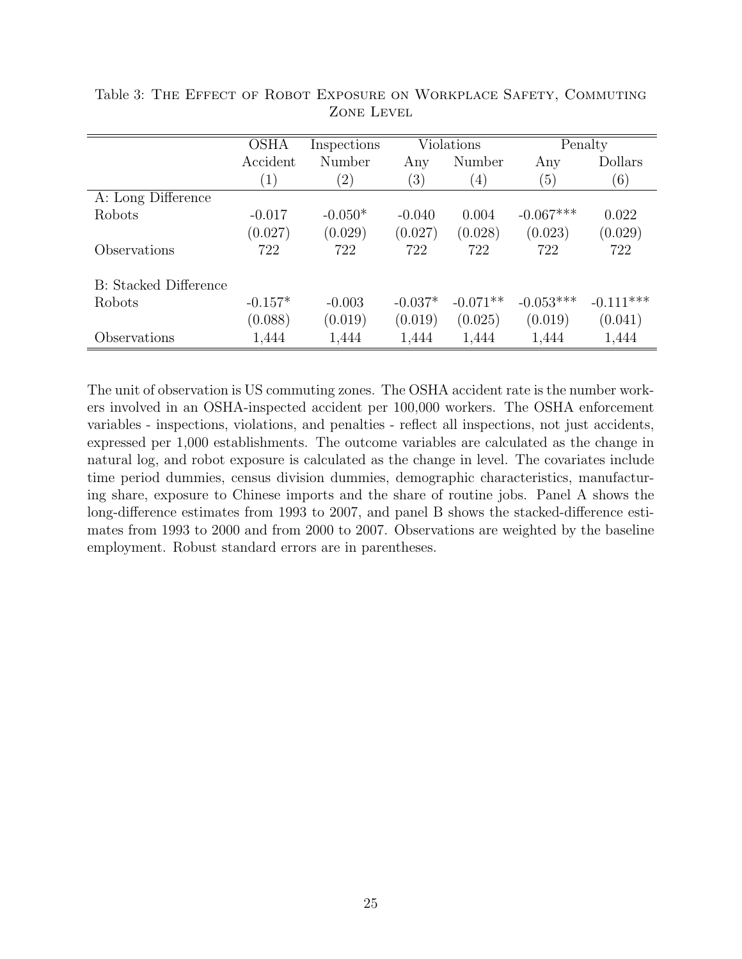|                              | <b>OSHA</b>      | Inspections   | <b>Violations</b> |                  |             | Penalty     |
|------------------------------|------------------|---------------|-------------------|------------------|-------------|-------------|
|                              | Accident         | Number        | Any               | Number           | Any         | Dollars     |
|                              | $\left(1\right)$ | $\binom{2}{}$ | (3)               | $\left(4\right)$ | (5)         | (6)         |
| A: Long Difference           |                  |               |                   |                  |             |             |
| Robots                       | $-0.017$         | $-0.050*$     | $-0.040$          | 0.004            | $-0.067***$ | 0.022       |
|                              | (0.027)          | (0.029)       | (0.027)           | (0.028)          | (0.023)     | (0.029)     |
| Observations                 | 722              | 722           | 722               | 722              | 722         | 722         |
| <b>B:</b> Stacked Difference |                  |               |                   |                  |             |             |
| Robots                       | $-0.157*$        | $-0.003$      | $-0.037*$         | $-0.071**$       | $-0.053***$ | $-0.111***$ |
|                              | (0.088)          | (0.019)       | (0.019)           | (0.025)          | (0.019)     | (0.041)     |
| Observations                 | 1,444            | 1,444         | 1,444             | 1,444            | 1,444       | 1,444       |

Table 3: The Effect of Robot Exposure on Workplace Safety, Commuting Zone Level

The unit of observation is US commuting zones. The OSHA accident rate is the number workers involved in an OSHA-inspected accident per 100,000 workers. The OSHA enforcement variables - inspections, violations, and penalties - reflect all inspections, not just accidents, expressed per 1,000 establishments. The outcome variables are calculated as the change in natural log, and robot exposure is calculated as the change in level. The covariates include time period dummies, census division dummies, demographic characteristics, manufacturing share, exposure to Chinese imports and the share of routine jobs. Panel A shows the long-difference estimates from 1993 to 2007, and panel B shows the stacked-difference estimates from 1993 to 2000 and from 2000 to 2007. Observations are weighted by the baseline employment. Robust standard errors are in parentheses.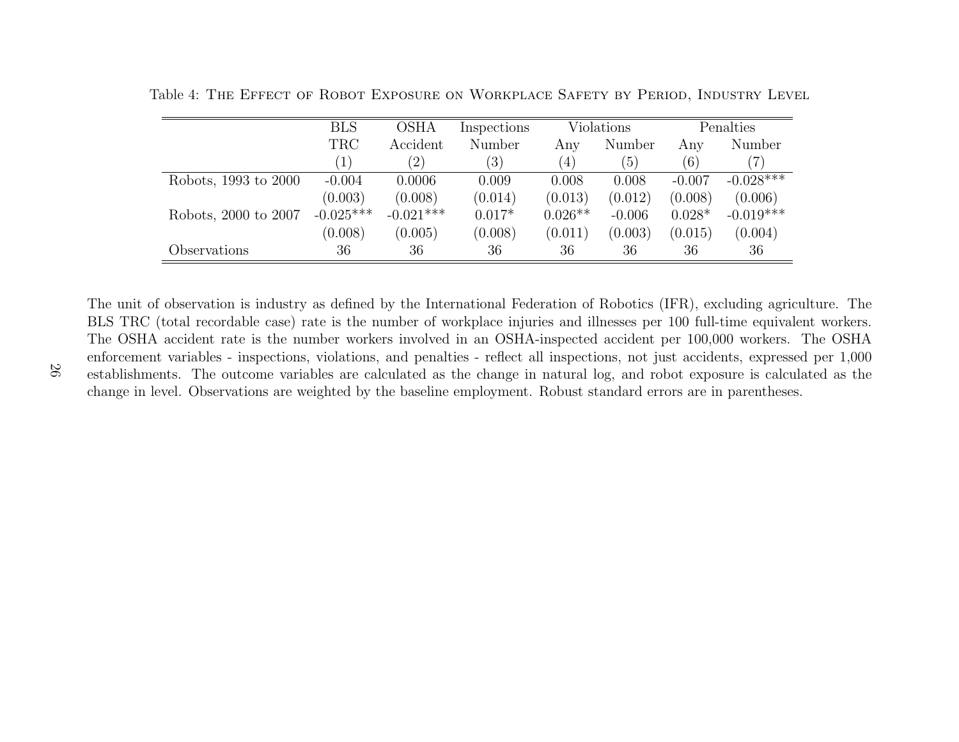|                      | BLS         | <b>OSHA</b> | Inspections |           | Violations |          | Penalties   |  |
|----------------------|-------------|-------------|-------------|-----------|------------|----------|-------------|--|
|                      | <b>TRC</b>  | Accident    | Number      | Any       | Number     | Any      | Number      |  |
|                      |             | (2)         | (3)         | (4)       | (5)        | (6)      |             |  |
| Robots, 1993 to 2000 | $-0.004$    | 0.0006      | 0.009       | 0.008     | 0.008      | $-0.007$ | $-0.028***$ |  |
|                      | (0.003)     | (0.008)     | (0.014)     | (0.013)   | (0.012)    | (0.008)  | (0.006)     |  |
| Robots, 2000 to 2007 | $-0.025***$ | $-0.021***$ | $0.017*$    | $0.026**$ | $-0.006$   | $0.028*$ | $-0.019***$ |  |
|                      | (0.008)     | (0.005)     | (0.008)     | (0.011)   | (0.003)    | (0.015)  | (0.004)     |  |
| Observations         | 36          | 36          | 36          | 36        | 36         | 36       | 36          |  |

Table 4: The Effect of Robot Exposure on Workplace Safety by Period, Industry Level

The unit of observation is industry as defined by the International Federation of Robotics (IFR), excluding agriculture. The BLS TRC (total recordable case) rate is the number of workplace injuries and illnesses per <sup>100</sup> full-time equivalent workers.The OSHA accident rate is the number workers involved in an OSHA-inspected accident per 100,000 workers. The OSHA enforcement variables - inspections, violations, and penalties - reflect all inspections, not just accidents, expressed per 1,000 establishments. The outcome variables are calculated as the change in natural log, and robot exposure is calculated as thechange in level. Observations are weighted by the baseline employment. Robust standard errors are in parentheses.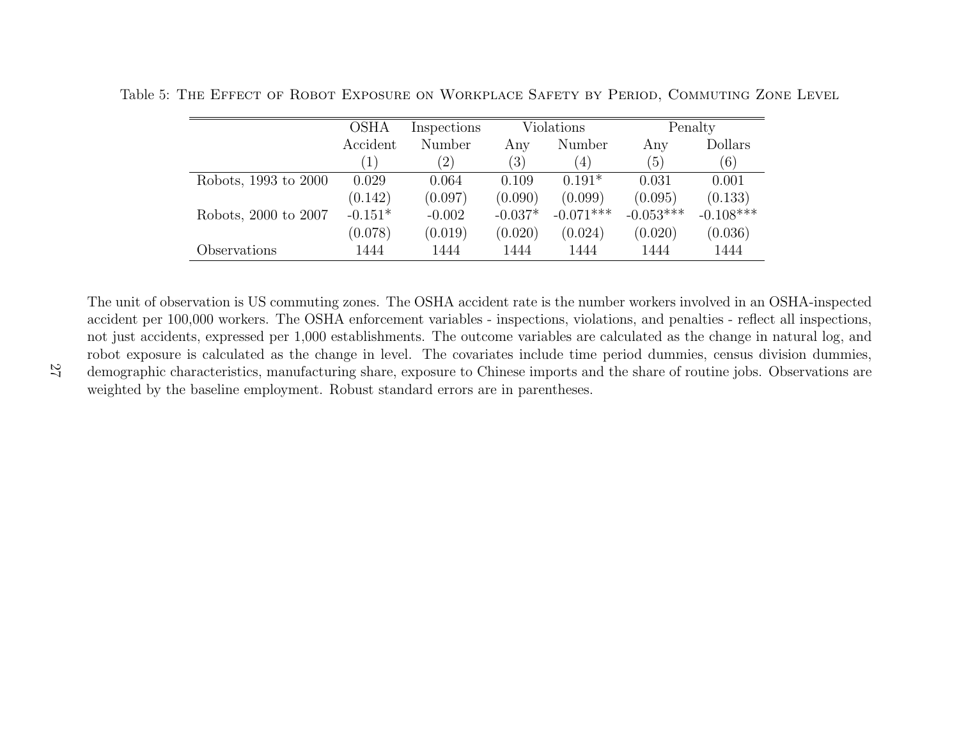|                      | <b>OSHA</b>      | Inspections       | Violations |             | Penalty     |             |
|----------------------|------------------|-------------------|------------|-------------|-------------|-------------|
|                      | Accident         | Number            | Any        | Number      | Any         | Dollars     |
|                      | $\left  \right $ | $\left( 2\right)$ | (3)        | (4)         | (5)         | (6)         |
| Robots, 1993 to 2000 | 0.029            | 0.064             | 0.109      | $0.191*$    | 0.031       | 0.001       |
|                      | (0.142)          | (0.097)           | (0.090)    | (0.099)     | (0.095)     | (0.133)     |
| Robots, 2000 to 2007 | $-0.151*$        | $-0.002$          | $-0.037*$  | $-0.071***$ | $-0.053***$ | $-0.108***$ |
|                      | (0.078)          | (0.019)           | (0.020)    | (0.024)     | (0.020)     | (0.036)     |
| Observations         | 1444             | 1444              | 1444       | 1444        | 1444        | 1444        |

Table 5: The Effect of Robot Exposure on Workplace Safety by Period, Commuting Zone Level

The unit of observation is US commuting zones. The OSHA accident rate is the number workers involved in an OSHA-inspected accident per 100,000 workers. The OSHA enforcement variables - inspections, violations, and penalties - reflect all inspections, not just accidents, expressed per 1,000 establishments. The outcome variables are calculated as the change in natural log, and robot exposure is calculated as the change in level. The covariates include time period dummies, census division dummies, demographic characteristics, manufacturing share, exposure to Chinese imports and the share of routine jobs. Observations areweighted by the baseline employment. Robust standard errors are in parentheses.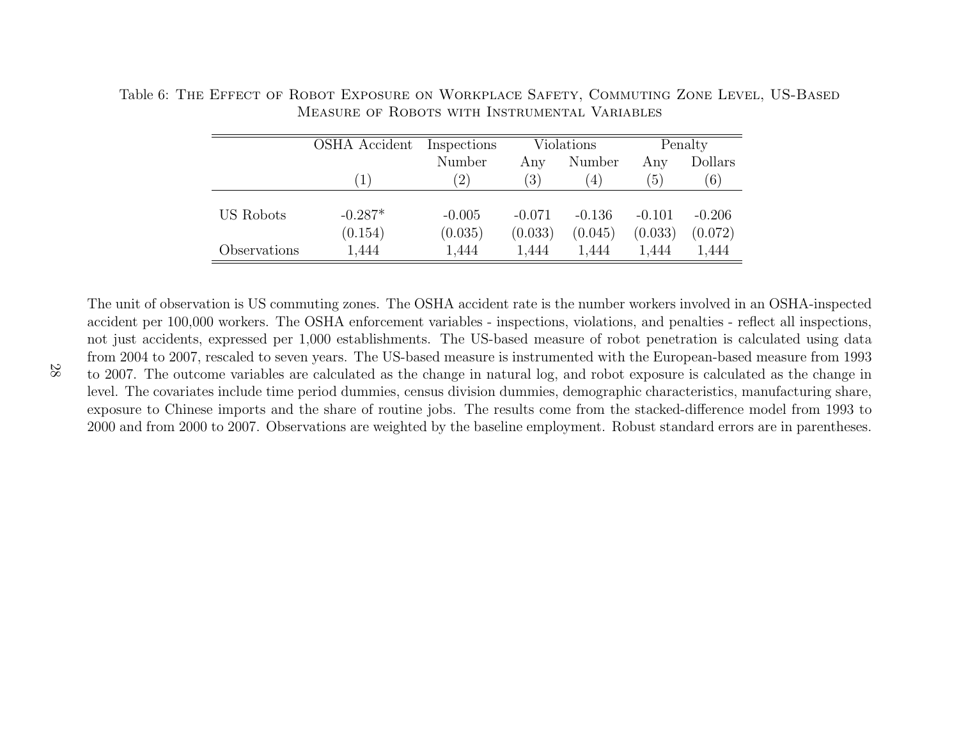|              | OSHA Accident | Inspections       |          | Violations       |          | Penalty  |
|--------------|---------------|-------------------|----------|------------------|----------|----------|
|              |               | Number            | Any      | Number           | Any      | Dollars  |
|              | 1             | $\left( 2\right)$ | (3)      | $\left(4\right)$ | (5)      | (6)      |
|              |               |                   |          |                  |          |          |
| US Robots    | $-0.287*$     | $-0.005$          | $-0.071$ | $-0.136$         | $-0.101$ | $-0.206$ |
|              | (0.154)       | (0.035)           | (0.033)  | (0.045)          | (0.033)  | (0.072)  |
| Observations | 1,444         | 1,444             | 1,444    | 1,444            | 1,444    | 1,444    |

Table 6: The Effect of Robot Exposure on Workplace Safety, Commuting Zone Level, US-BasedMeasure of Robots with Instrumental Variables

The unit of observation is US commuting zones. The OSHA accident rate is the number workers involved in an OSHA-inspected accident per 100,000 workers. The OSHA enforcement variables - inspections, violations, and penalties - reflect all inspections,not just accidents, expressed per 1,000 establishments. The US-based measure of robot penetration is calculated using data from 2004 to 2007, rescaled to seven years. The US-based measure is instrumented with the European-based measure from 1993 to 2007. The outcome variables are calculated as the change in natural log, and robot exposure is calculated as the change in level. The covariates include time period dummies, census division dummies, demographic characteristics, manufacturing share,exposure to Chinese imports and the share of routine jobs. The results come from the stacked-difference model from 1993 to2000 and from 2000 to 2007. Observations are weighted by the baseline employment. Robust standard errors are in parentheses.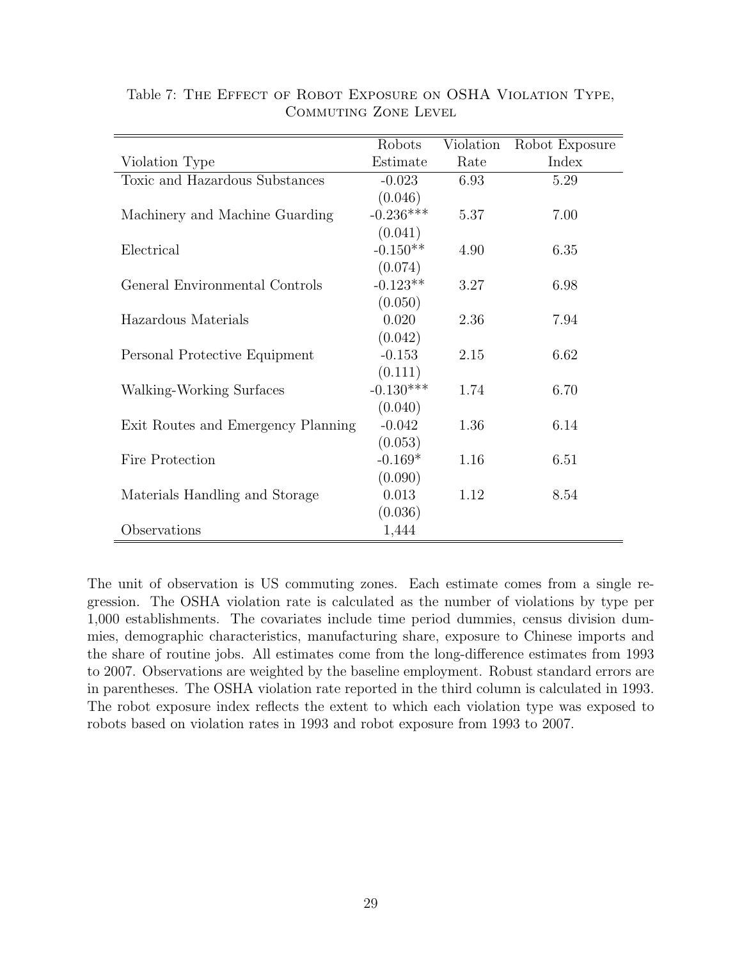|                                    | Robots      | Violation | Robot Exposure |
|------------------------------------|-------------|-----------|----------------|
| Violation Type                     | Estimate    | Rate      | Index          |
| Toxic and Hazardous Substances     | $-0.023$    | 6.93      | 5.29           |
|                                    | (0.046)     |           |                |
| Machinery and Machine Guarding     | $-0.236***$ | 5.37      | 7.00           |
|                                    | (0.041)     |           |                |
| Electrical                         | $-0.150**$  | 4.90      | 6.35           |
|                                    | (0.074)     |           |                |
| General Environmental Controls     | $-0.123**$  | 3.27      | 6.98           |
|                                    | (0.050)     |           |                |
| Hazardous Materials                | 0.020       | 2.36      | 7.94           |
|                                    | (0.042)     |           |                |
| Personal Protective Equipment      | $-0.153$    | 2.15      | 6.62           |
|                                    | (0.111)     |           |                |
| Walking-Working Surfaces           | $-0.130***$ | 1.74      | 6.70           |
|                                    | (0.040)     |           |                |
| Exit Routes and Emergency Planning | $-0.042$    | 1.36      | 6.14           |
|                                    | (0.053)     |           |                |
| Fire Protection                    | $-0.169*$   | 1.16      | 6.51           |
|                                    | (0.090)     |           |                |
| Materials Handling and Storage     | 0.013       | 1.12      | 8.54           |
|                                    | (0.036)     |           |                |
| Observations                       | 1,444       |           |                |

Table 7: The Effect of Robot Exposure on OSHA Violation Type, Commuting Zone Level

The unit of observation is US commuting zones. Each estimate comes from a single regression. The OSHA violation rate is calculated as the number of violations by type per 1,000 establishments. The covariates include time period dummies, census division dummies, demographic characteristics, manufacturing share, exposure to Chinese imports and the share of routine jobs. All estimates come from the long-difference estimates from 1993 to 2007. Observations are weighted by the baseline employment. Robust standard errors are in parentheses. The OSHA violation rate reported in the third column is calculated in 1993. The robot exposure index reflects the extent to which each violation type was exposed to robots based on violation rates in 1993 and robot exposure from 1993 to 2007.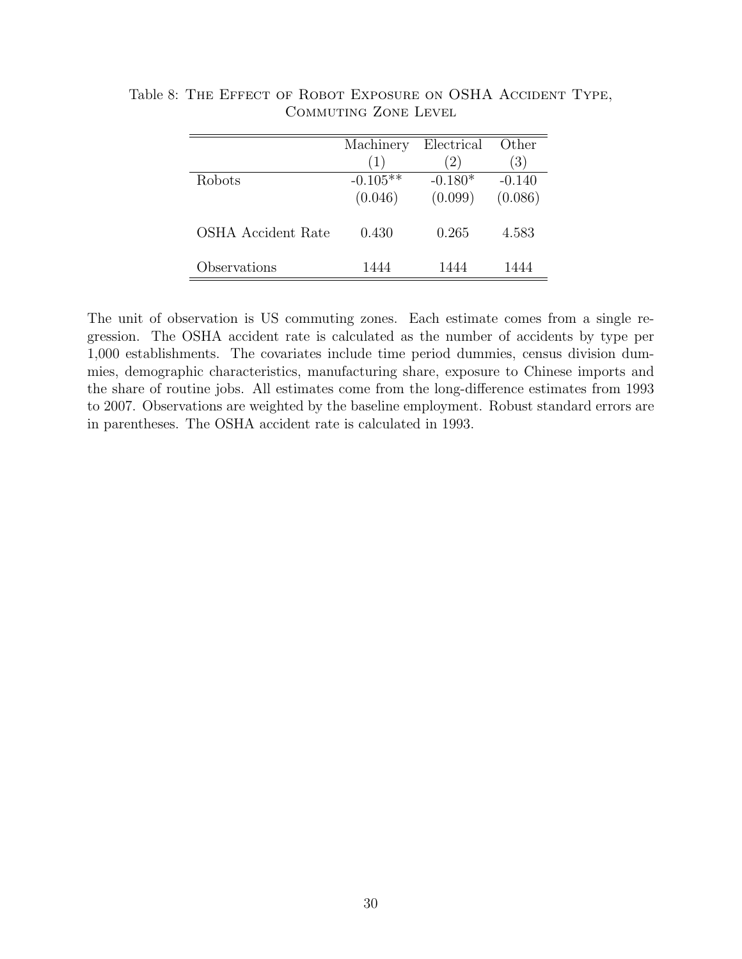|                    | Machinery  | Electrical | Other    |
|--------------------|------------|------------|----------|
|                    | (1)        | (2)        | (3)      |
| <b>Robots</b>      | $-0.105**$ | $-0.180*$  | $-0.140$ |
|                    | (0.046)    | (0.099)    | (0.086)  |
| OSHA Accident Rate | 0.430      | 0.265      | 4.583    |
| Observations       | 1444       | 1444       | 1444     |

Table 8: THE EFFECT OF ROBOT EXPOSURE ON OSHA ACCIDENT TYPE, Commuting Zone Level

The unit of observation is US commuting zones. Each estimate comes from a single regression. The OSHA accident rate is calculated as the number of accidents by type per 1,000 establishments. The covariates include time period dummies, census division dummies, demographic characteristics, manufacturing share, exposure to Chinese imports and the share of routine jobs. All estimates come from the long-difference estimates from 1993 to 2007. Observations are weighted by the baseline employment. Robust standard errors are in parentheses. The OSHA accident rate is calculated in 1993.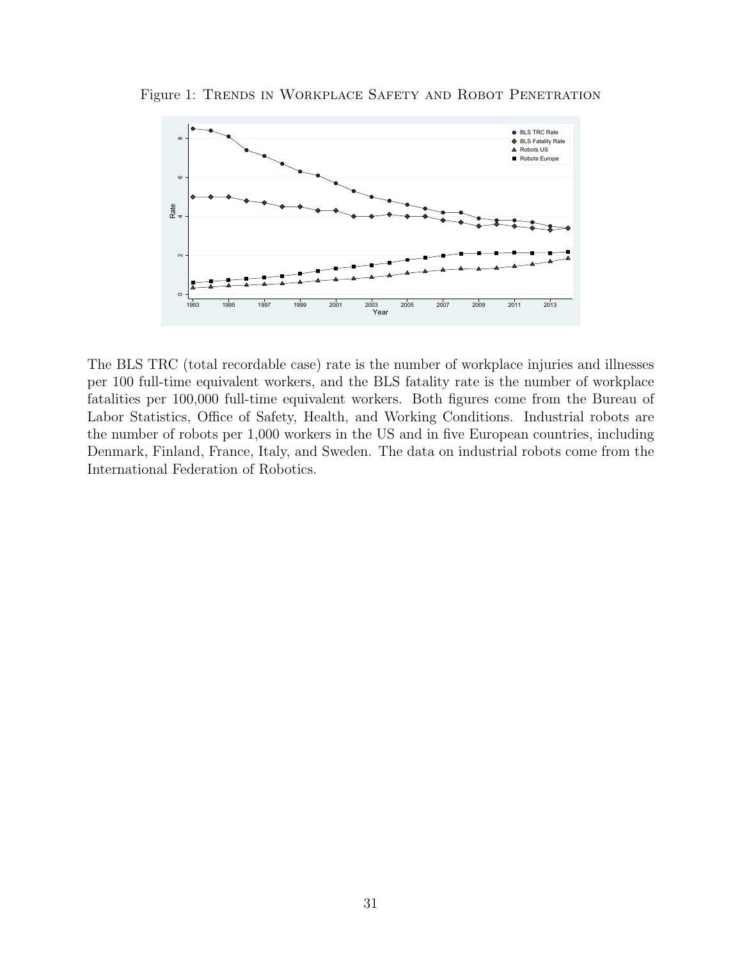

Figure 1: Trends in Workplace Safety and Robot Penetration

The BLS TRC (total recordable case) rate is the number of workplace injuries and illnesses per 100 full-time equivalent workers, and the BLS fatality rate is the number of workplace fatalities per 100,000 full-time equivalent workers. Both figures come from the Bureau of Labor Statistics, Office of Safety, Health, and Working Conditions. Industrial robots are the number of robots per 1,000 workers in the US and in five European countries, including Denmark, Finland, France, Italy, and Sweden. The data on industrial robots come from the International Federation of Robotics.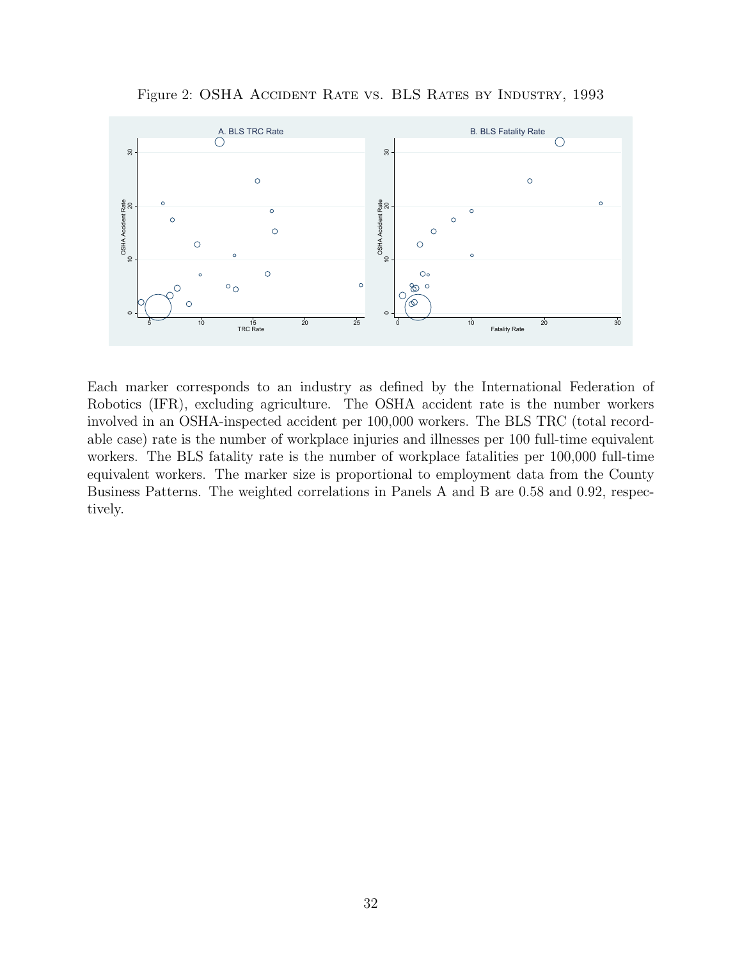Figure 2: OSHA ACCIDENT RATE VS. BLS RATES BY INDUSTRY, 1993



Each marker corresponds to an industry as defined by the International Federation of Robotics (IFR), excluding agriculture. The OSHA accident rate is the number workers involved in an OSHA-inspected accident per 100,000 workers. The BLS TRC (total recordable case) rate is the number of workplace injuries and illnesses per 100 full-time equivalent workers. The BLS fatality rate is the number of workplace fatalities per 100,000 full-time equivalent workers. The marker size is proportional to employment data from the County Business Patterns. The weighted correlations in Panels A and B are 0.58 and 0.92, respectively.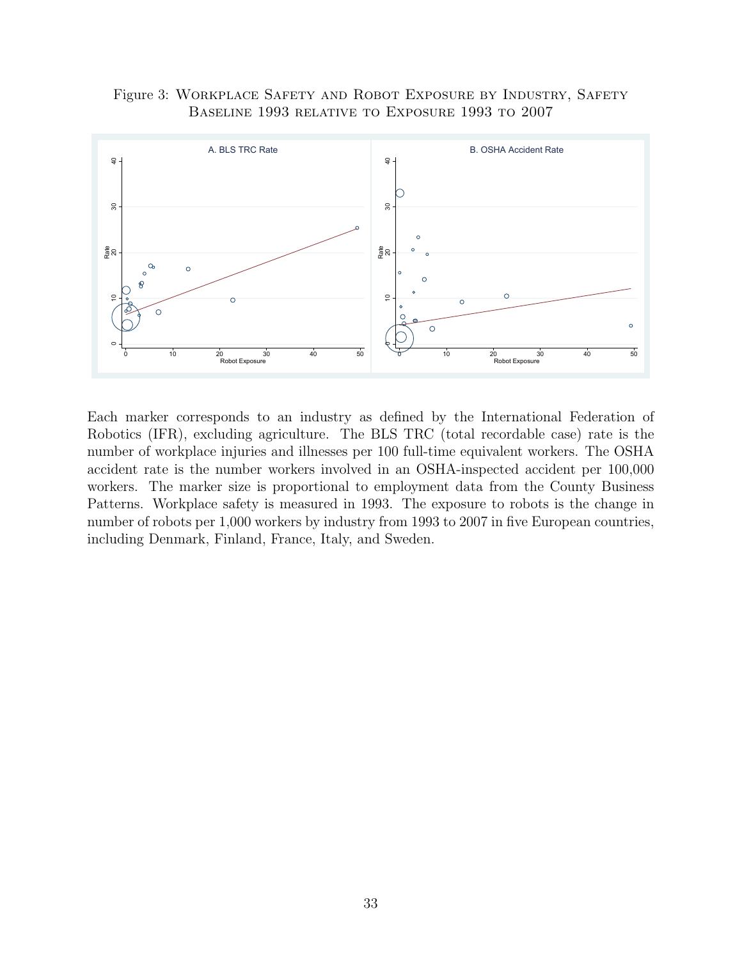Figure 3: Workplace Safety and Robot Exposure by Industry, Safety Baseline 1993 relative to Exposure 1993 to 2007



Each marker corresponds to an industry as defined by the International Federation of Robotics (IFR), excluding agriculture. The BLS TRC (total recordable case) rate is the number of workplace injuries and illnesses per 100 full-time equivalent workers. The OSHA accident rate is the number workers involved in an OSHA-inspected accident per 100,000 workers. The marker size is proportional to employment data from the County Business Patterns. Workplace safety is measured in 1993. The exposure to robots is the change in number of robots per 1,000 workers by industry from 1993 to 2007 in five European countries, including Denmark, Finland, France, Italy, and Sweden.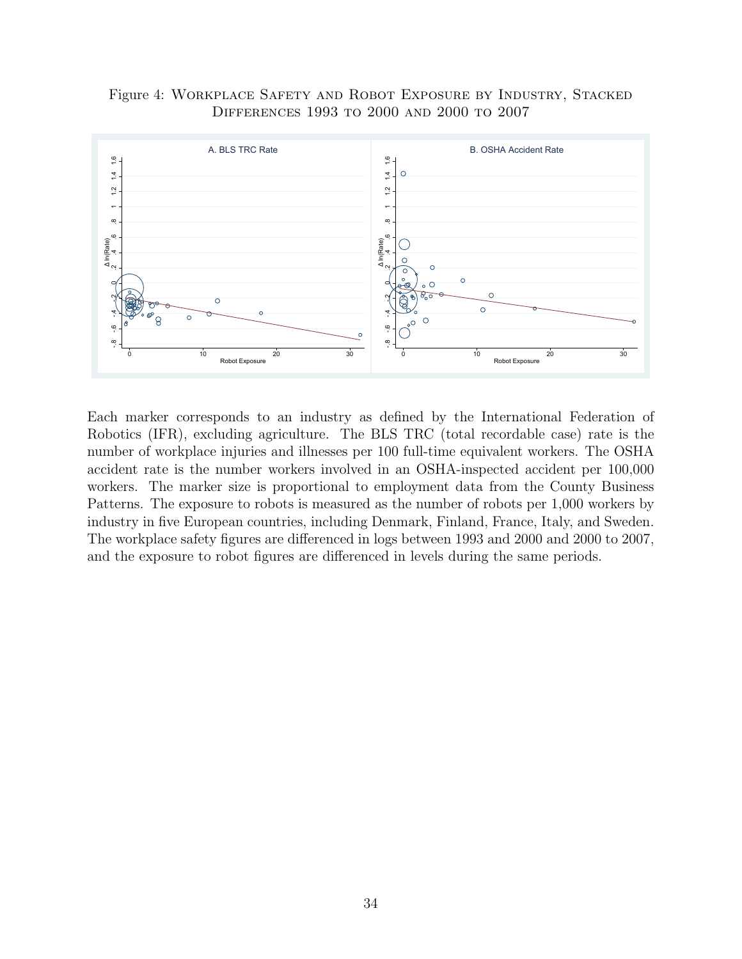Figure 4: Workplace Safety and Robot Exposure by Industry, Stacked Differences 1993 to 2000 and 2000 to 2007



Each marker corresponds to an industry as defined by the International Federation of Robotics (IFR), excluding agriculture. The BLS TRC (total recordable case) rate is the number of workplace injuries and illnesses per 100 full-time equivalent workers. The OSHA accident rate is the number workers involved in an OSHA-inspected accident per 100,000 workers. The marker size is proportional to employment data from the County Business Patterns. The exposure to robots is measured as the number of robots per 1,000 workers by industry in five European countries, including Denmark, Finland, France, Italy, and Sweden. The workplace safety figures are differenced in logs between 1993 and 2000 and 2000 to 2007, and the exposure to robot figures are differenced in levels during the same periods.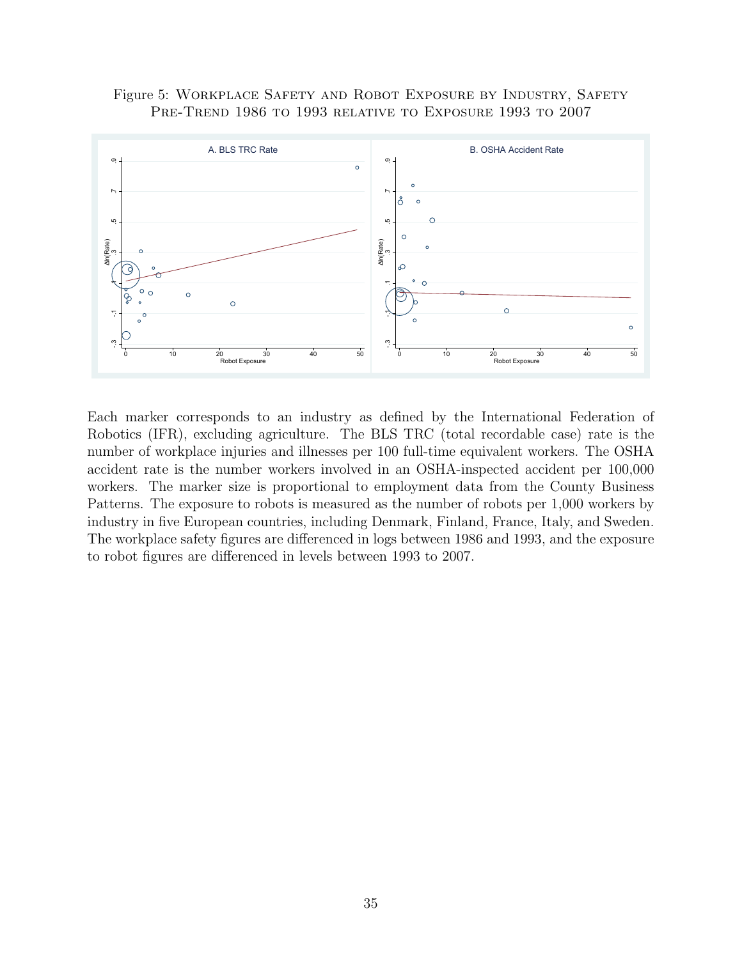#### Figure 5: Workplace Safety and Robot Exposure by Industry, Safety PRE-TREND 1986 TO 1993 RELATIVE TO EXPOSURE 1993 TO 2007



Each marker corresponds to an industry as defined by the International Federation of Robotics (IFR), excluding agriculture. The BLS TRC (total recordable case) rate is the number of workplace injuries and illnesses per 100 full-time equivalent workers. The OSHA accident rate is the number workers involved in an OSHA-inspected accident per 100,000 workers. The marker size is proportional to employment data from the County Business Patterns. The exposure to robots is measured as the number of robots per 1,000 workers by industry in five European countries, including Denmark, Finland, France, Italy, and Sweden. The workplace safety figures are differenced in logs between 1986 and 1993, and the exposure to robot figures are differenced in levels between 1993 to 2007.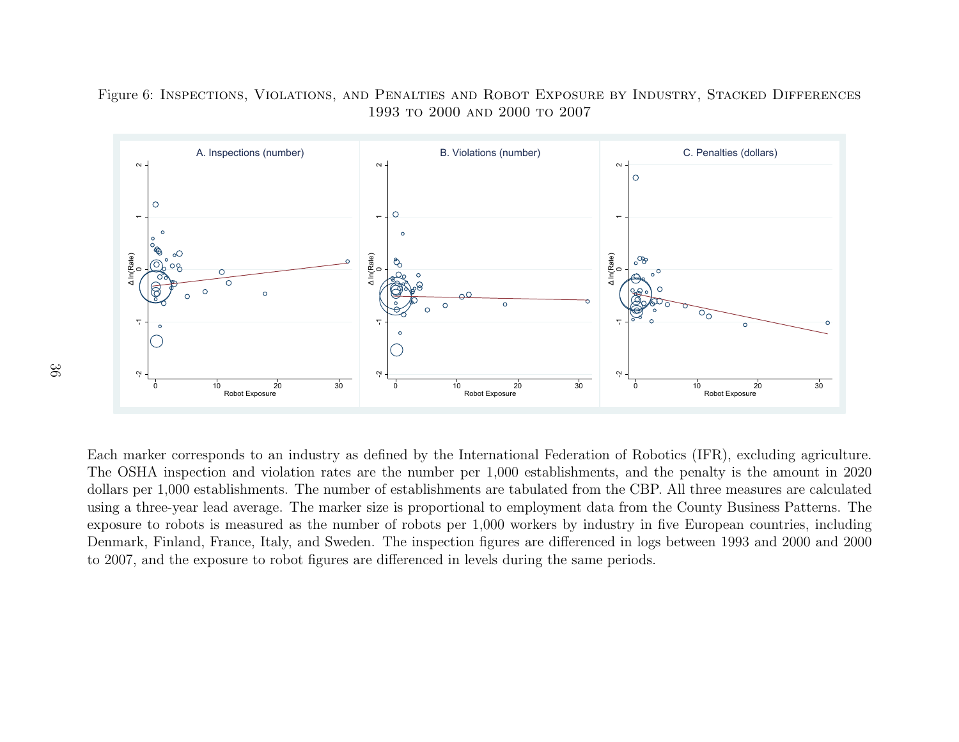Figure 6: Inspections, Violations, and Penalties and Robot Exposure by Industry, Stacked Differences1993 to 2000 and 2000 to 2007



<sup>10</sup> Robot Exposure<br>
<sup>20</sup> <sup>30</sup><br>
<sup>20</sup> <sup>30</sup><br>
1.000 establishments. The nur<br>
ree-year lead average. The mar<br>
co robots is measured as the nur<br>
Finland, France, Italy, and Sw<br>
d the exposure to robot figure <sup>10</sup> Robot Exposure<br>
ed by the International Federa<br>
ee number per 1,000 establishn<br>
establishments are tabulated fr<br>
is proportional to employment<br>
f robots per 1,000 workers by<br>
the inspection figures are differe<br>
feren  $^{10}$  Robot Exposure<br>
10 Robotics (IFR), excluding agri<br>
10 the penalty is the amount<br>
10 2BP. All three measures are can<br>
10 m the County Business Patter<br>
10 in five European countries, in<br>
10 logs between 1993 and 2000 Each marker corresponds to an industry as defined by the International Federation of Robotics (IFR), excluding agriculture. The OSHA inspection and violation rates are the number per 1,000 establishments, and the penalty is the amount in 2020 dollars per 1,000 establishments. The number of establishments are tabulated from the CBP. All three measures are calculated using <sup>a</sup> three-year lead average. The marker size is proportional to employment data from the County Business Patterns. The exposure to robots is measured as the number of robots per 1,000 workers by industry in five European countries, including Denmark, Finland, France, Italy, and Sweden. The inspection figures are differenced in logs between 1993 and 2000 and 2000to 2007, and the exposure to robot figures are differenced in levels during the same periods.